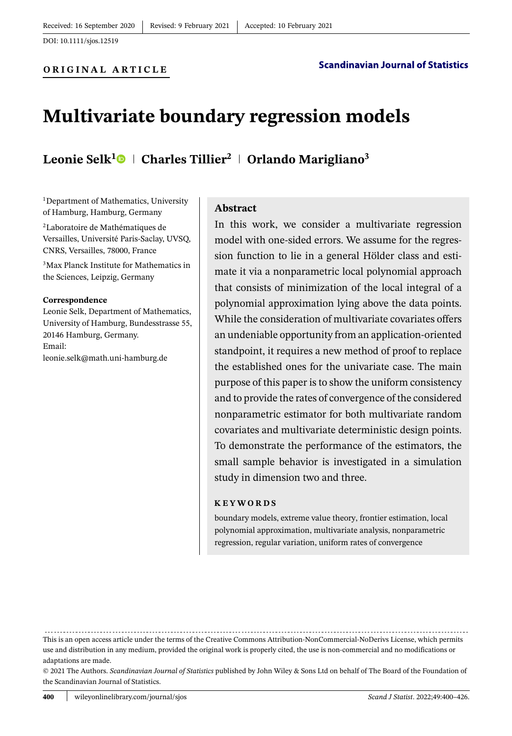**ORIGINAL ARTICLE**

# **Multivariate boundary regression models**

# **Leonie Selk[1](https://orcid.org/0000-0003-0459-4953) Charles Tillier<sup>2</sup> Orlando Marigliano<sup>3</sup>**

<sup>1</sup>Department of Mathematics, University of Hamburg, Hamburg, Germany

2Laboratoire de Mathématiques de Versailles, Université Paris-Saclay, UVSQ, CNRS, Versailles, 78000, France

3Max Planck Institute for Mathematics in the Sciences, Leipzig, Germany

#### **Correspondence**

Leonie Selk, Department of Mathematics, University of Hamburg, Bundesstrasse 55, 20146 Hamburg, Germany. Email: leonie.selk@math.uni-hamburg.de

**Abstract**

In this work, we consider a multivariate regression model with one-sided errors. We assume for the regression function to lie in a general Hölder class and estimate it via a nonparametric local polynomial approach that consists of minimization of the local integral of a polynomial approximation lying above the data points. While the consideration of multivariate covariates offers an undeniable opportunity from an application-oriented standpoint, it requires a new method of proof to replace the established ones for the univariate case. The main purpose of this paper is to show the uniform consistency and to provide the rates of convergence of the considered nonparametric estimator for both multivariate random covariates and multivariate deterministic design points. To demonstrate the performance of the estimators, the small sample behavior is investigated in a simulation study in dimension two and three.

#### **KEYWORDS**

boundary models, extreme value theory, frontier estimation, local polynomial approximation, multivariate analysis, nonparametric regression, regular variation, uniform rates of convergence

This is an open access article under the terms of the [Creative Commons Attribution-NonCommercial-NoDerivs](http://creativecommons.org/licenses/by-nc-nd/4.0/) License, which permits

use and distribution in any medium, provided the original work is properly cited, the use is non-commercial and no modifications or adaptations are made.

<sup>© 2021</sup> The Authors. *Scandinavian Journal of Statistics* published by John Wiley & Sons Ltd on behalf of The Board of the Foundation of the Scandinavian Journal of Statistics.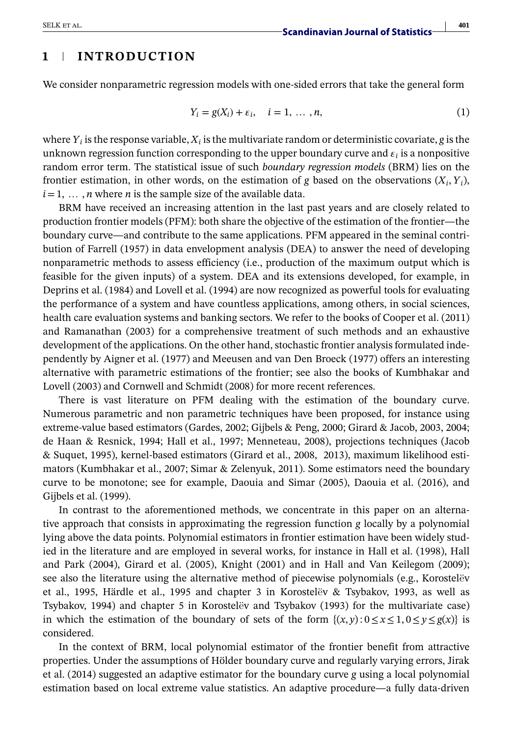## **1 INTRODUCTION**

We consider nonparametric regression models with one-sided errors that take the general form

$$
Y_i = g(X_i) + \varepsilon_i, \quad i = 1, \dots, n,
$$
\n<sup>(1)</sup>

where  $Y_i$  is the response variable,  $X_i$  is the multivariate random or deterministic covariate, *g* is the unknown regression function corresponding to the upper boundary curve and  $\varepsilon_i$  is a nonpositive random error term. The statistical issue of such *boundary regression models* (BRM) lies on the frontier estimation, in other words, on the estimation of *g* based on the observations  $(X_i, Y_i)$ ,  $i=1, \ldots, n$  where *n* is the sample size of the available data.

BRM have received an increasing attention in the last past years and are closely related to production frontier models (PFM): both share the objective of the estimation of the frontier—the boundary curve—and contribute to the same applications. PFM appeared in the seminal contribution of Farrell (1957) in data envelopment analysis (DEA) to answer the need of developing nonparametric methods to assess efficiency (i.e., production of the maximum output which is feasible for the given inputs) of a system. DEA and its extensions developed, for example, in Deprins et al. (1984) and Lovell et al. (1994) are now recognized as powerful tools for evaluating the performance of a system and have countless applications, among others, in social sciences, health care evaluation systems and banking sectors. We refer to the books of Cooper et al. (2011) and Ramanathan (2003) for a comprehensive treatment of such methods and an exhaustive development of the applications. On the other hand, stochastic frontier analysis formulated independently by Aigner et al. (1977) and Meeusen and van Den Broeck (1977) offers an interesting alternative with parametric estimations of the frontier; see also the books of Kumbhakar and Lovell (2003) and Cornwell and Schmidt (2008) for more recent references.

There is vast literature on PFM dealing with the estimation of the boundary curve. Numerous parametric and non parametric techniques have been proposed, for instance using extreme-value based estimators (Gardes, 2002; Gijbels & Peng, 2000; Girard & Jacob, 2003, 2004; de Haan & Resnick, 1994; Hall et al., 1997; Menneteau, 2008), projections techniques (Jacob & Suquet, 1995), kernel-based estimators (Girard et al., 2008, 2013), maximum likelihood estimators (Kumbhakar et al., 2007; Simar & Zelenyuk, 2011). Some estimators need the boundary curve to be monotone; see for example, Daouia and Simar (2005), Daouia et al. (2016), and Gijbels et al. (1999).

In contrast to the aforementioned methods, we concentrate in this paper on an alternative approach that consists in approximating the regression function *g* locally by a polynomial lying above the data points. Polynomial estimators in frontier estimation have been widely studied in the literature and are employed in several works, for instance in Hall et al. (1998), Hall and Park (2004), Girard et al. (2005), Knight (2001) and in Hall and Van Keilegom (2009); see also the literature using the alternative method of piecewise polynomials (e.g., Korostelëv et al., 1995, Härdle et al., 1995 and chapter 3 in Korostelëv & Tsybakov, 1993, as well as Tsybakov, 1994) and chapter 5 in Korostelëv and Tsybakov (1993) for the multivariate case) in which the estimation of the boundary of sets of the form  $\{(x, y): 0 \le x \le 1, 0 \le y \le g(x)\}$  is considered.

In the context of BRM, local polynomial estimator of the frontier benefit from attractive properties. Under the assumptions of Hölder boundary curve and regularly varying errors, Jirak et al. (2014) suggested an adaptive estimator for the boundary curve *g* using a local polynomial estimation based on local extreme value statistics. An adaptive procedure—a fully data-driven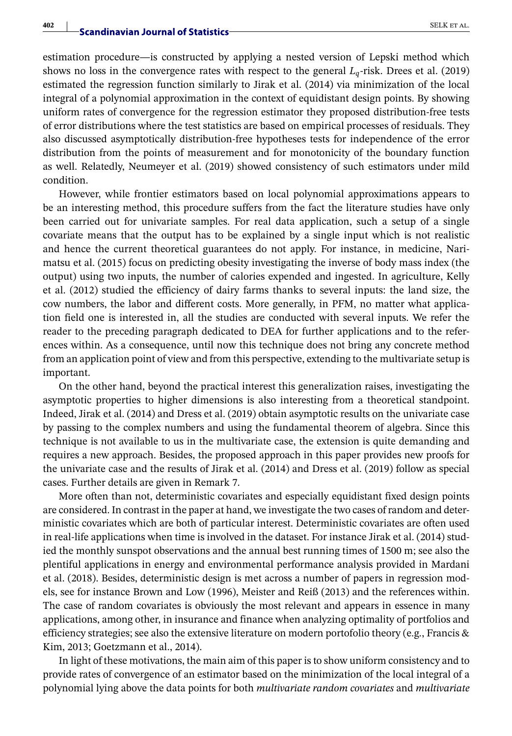estimation procedure—is constructed by applying a nested version of Lepski method which shows no loss in the convergence rates with respect to the general  $L_q$ -risk. Drees et al. (2019) estimated the regression function similarly to Jirak et al. (2014) via minimization of the local integral of a polynomial approximation in the context of equidistant design points. By showing uniform rates of convergence for the regression estimator they proposed distribution-free tests of error distributions where the test statistics are based on empirical processes of residuals. They also discussed asymptotically distribution-free hypotheses tests for independence of the error distribution from the points of measurement and for monotonicity of the boundary function as well. Relatedly, Neumeyer et al. (2019) showed consistency of such estimators under mild condition.

However, while frontier estimators based on local polynomial approximations appears to be an interesting method, this procedure suffers from the fact the literature studies have only been carried out for univariate samples. For real data application, such a setup of a single covariate means that the output has to be explained by a single input which is not realistic and hence the current theoretical guarantees do not apply. For instance, in medicine, Narimatsu et al. (2015) focus on predicting obesity investigating the inverse of body mass index (the output) using two inputs, the number of calories expended and ingested. In agriculture, Kelly et al. (2012) studied the efficiency of dairy farms thanks to several inputs: the land size, the cow numbers, the labor and different costs. More generally, in PFM, no matter what application field one is interested in, all the studies are conducted with several inputs. We refer the reader to the preceding paragraph dedicated to DEA for further applications and to the references within. As a consequence, until now this technique does not bring any concrete method from an application point of view and from this perspective, extending to the multivariate setup is important.

On the other hand, beyond the practical interest this generalization raises, investigating the asymptotic properties to higher dimensions is also interesting from a theoretical standpoint. Indeed, Jirak et al. (2014) and Dress et al. (2019) obtain asymptotic results on the univariate case by passing to the complex numbers and using the fundamental theorem of algebra. Since this technique is not available to us in the multivariate case, the extension is quite demanding and requires a new approach. Besides, the proposed approach in this paper provides new proofs for the univariate case and the results of Jirak et al. (2014) and Dress et al. (2019) follow as special cases. Further details are given in Remark 7.

More often than not, deterministic covariates and especially equidistant fixed design points are considered. In contrast in the paper at hand, we investigate the two cases of random and deterministic covariates which are both of particular interest. Deterministic covariates are often used in real-life applications when time is involved in the dataset. For instance Jirak et al. (2014) studied the monthly sunspot observations and the annual best running times of 1500 m; see also the plentiful applications in energy and environmental performance analysis provided in Mardani et al. (2018). Besides, deterministic design is met across a number of papers in regression models, see for instance Brown and Low (1996), Meister and Reiß (2013) and the references within. The case of random covariates is obviously the most relevant and appears in essence in many applications, among other, in insurance and finance when analyzing optimality of portfolios and efficiency strategies; see also the extensive literature on modern portofolio theory (e.g., Francis & Kim, 2013; Goetzmann et al., 2014).

In light of these motivations, the main aim of this paper is to show uniform consistency and to provide rates of convergence of an estimator based on the minimization of the local integral of a polynomial lying above the data points for both *multivariate random covariates* and *multivariate*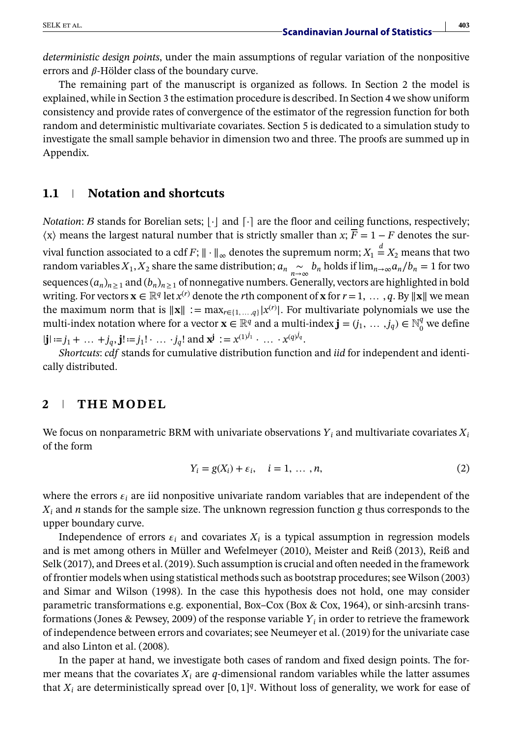*deterministic design points*, under the main assumptions of regular variation of the nonpositive errors and  $\beta$ -Hölder class of the boundary curve.

The remaining part of the manuscript is organized as follows. In Section 2 the model is explained, while in Section 3 the estimation procedure is described. In Section 4 we show uniform consistency and provide rates of convergence of the estimator of the regression function for both random and deterministic multivariate covariates. Section 5 is dedicated to a simulation study to investigate the small sample behavior in dimension two and three. The proofs are summed up in Appendix.

### **1.1 Notation and shortcuts**

*Notation: B* stands for Borelian sets;  $|\cdot|$  and  $[\cdot]$  are the floor and ceiling functions, respectively;  $\langle x \rangle$  means the largest natural number that is strictly smaller than *x*;  $\overline{F} = 1 - F$  denotes the survival function associated to a cdf *F*;  $\|\cdot\|_{\infty}$  denotes the supremum norm;  $X_1 \stackrel{d}{=} X_2$  means that two random variables  $X_1, X_2$  share the same distribution;  $a_n \sim_b b_n$  holds if  $\lim_{n\to\infty} a_n/b_n = 1$  for two sequences  $(a_n)_{n\geq 1}$  and  $(b_n)_{n\geq 1}$  of nonnegative numbers. Generally, vectors are highlighted in bold writing. For vectors  $\mathbf{x} \in \mathbb{R}^q$  let  $x^{(r)}$  denote the *r*th component of **x** for  $r = 1, \ldots, q$ . By  $\|\mathbf{x}\|$  we mean the maximum norm that is  $\|\mathbf{x}\| := \max_{r \in \{1, \ldots, q\}} |x^{(r)}|$ . For multivariate polynomials we use the multi-index notation where for a vector  $\mathbf{x} \in \mathbb{R}^q$  and a multi-index  $\mathbf{j} = (j_1, \ldots, j_q) \in \mathbb{N}_0^q$  we define  $|\mathbf{j}| := j_1 + \dots + j_q, \mathbf{j}! := j_1! \dots j_q! \text{ and } \mathbf{x}^{\mathbf{j}} := x^{(1)^{j_1}} \dots x^{(q)^{j_q}}.$ 

*Shortcuts*: *cdf* stands for cumulative distribution function and *iid* for independent and identically distributed.

### **2 THE MODEL**

We focus on nonparametric BRM with univariate observations  $Y_i$  and multivariate covariates  $X_i$ of the form

$$
Y_i = g(X_i) + \varepsilon_i, \quad i = 1, \dots, n,
$$
\n<sup>(2)</sup>

where the errors  $\varepsilon_i$  are iid nonpositive univariate random variables that are independent of the *Xi* and *n* stands for the sample size. The unknown regression function *g* thus corresponds to the upper boundary curve.

Independence of errors  $\varepsilon_i$  and covariates  $X_i$  is a typical assumption in regression models and is met among others in Müller and Wefelmeyer (2010), Meister and Reiß (2013), Reiß and Selk (2017), and Drees et al. (2019). Such assumption is crucial and often needed in the framework of frontier models when using statistical methods such as bootstrap procedures; see Wilson (2003) and Simar and Wilson (1998). In the case this hypothesis does not hold, one may consider parametric transformations e.g. exponential, Box–Cox (Box & Cox, 1964), or sinh-arcsinh transformations (Jones & Pewsey, 2009) of the response variable *Yi* in order to retrieve the framework of independence between errors and covariates; see Neumeyer et al. (2019) for the univariate case and also Linton et al. (2008).

In the paper at hand, we investigate both cases of random and fixed design points. The former means that the covariates  $X_i$  are  $q$ -dimensional random variables while the latter assumes that  $X_i$  are deterministically spread over  $[0, 1]^q$ . Without loss of generality, we work for ease of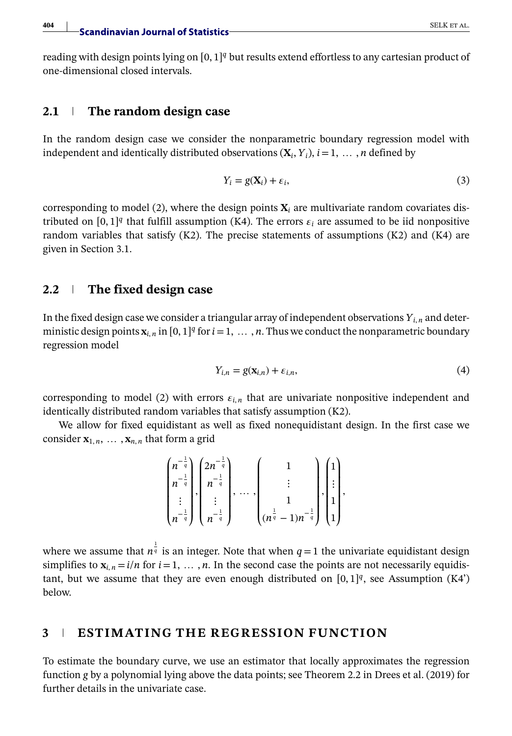reading with design points lying on [0, 1]*<sup>q</sup>* but results extend effortless to any cartesian product of one-dimensional closed intervals.

#### **2.1 The random design case**

In the random design case we consider the nonparametric boundary regression model with independent and identically distributed observations  $(X_i, Y_i)$ ,  $i = 1, \ldots, n$  defined by

$$
Y_i = g(\mathbf{X}_i) + \varepsilon_i,\tag{3}
$$

corresponding to model (2), where the design points  $X_i$  are multivariate random covariates distributed on [0, 1]<sup>*q*</sup> that fulfill assumption (K4). The errors  $\varepsilon_i$  are assumed to be iid nonpositive random variables that satisfy  $(K2)$ . The precise statements of assumptions  $(K2)$  and  $(K4)$  are given in Section 3.1.

### **2.2 The fixed design case**

In the fixed design case we consider a triangular array of independent observations  $Y_{i,n}$  and deterministic design points  $\mathbf{x}_{i,n}$  in  $[0,1]^q$  for  $i=1, \ldots, n$ . Thus we conduct the nonparametric boundary regression model

$$
Y_{i,n} = g(\mathbf{x}_{i,n}) + \varepsilon_{i,n},\tag{4}
$$

corresponding to model (2) with errors  $\varepsilon_{i,n}$  that are univariate nonpositive independent and identically distributed random variables that satisfy assumption (K2).

We allow for fixed equidistant as well as fixed nonequidistant design. In the first case we consider  $\mathbf{x}_{1,n}, \ldots, \mathbf{x}_{n,n}$  that form a grid

$$
\begin{pmatrix} n^{-\frac{1}{q}} \\ n^{-\frac{1}{q}} \\ \vdots \\ n^{-\frac{1}{q}} \end{pmatrix}, \begin{pmatrix} 2n^{-\frac{1}{q}} \\ n^{-\frac{1}{q}} \\ \vdots \\ n^{-\frac{1}{q}} \end{pmatrix}, \dots, \begin{pmatrix} 1 \\ \vdots \\ 1 \\ (n^{\frac{1}{q}} - 1)n^{-\frac{1}{q}} \end{pmatrix}, \begin{pmatrix} 1 \\ \vdots \\ 1 \\ 1 \end{pmatrix},
$$

where we assume that  $n^{\frac{1}{q}}$  is an integer. Note that when  $q=1$  the univariate equidistant design simplifies to  $\mathbf{x}_i$ ,  $n = i/n$  for  $i = 1, \ldots, n$ . In the second case the points are not necessarily equidistant, but we assume that they are even enough distributed on  $[0,1]^q$ , see Assumption (K4') below.

# **3 ESTIMATING THE REGRESSION FUNCTION**

To estimate the boundary curve, we use an estimator that locally approximates the regression function *g* by a polynomial lying above the data points; see Theorem 2.2 in Drees et al. (2019) for further details in the univariate case.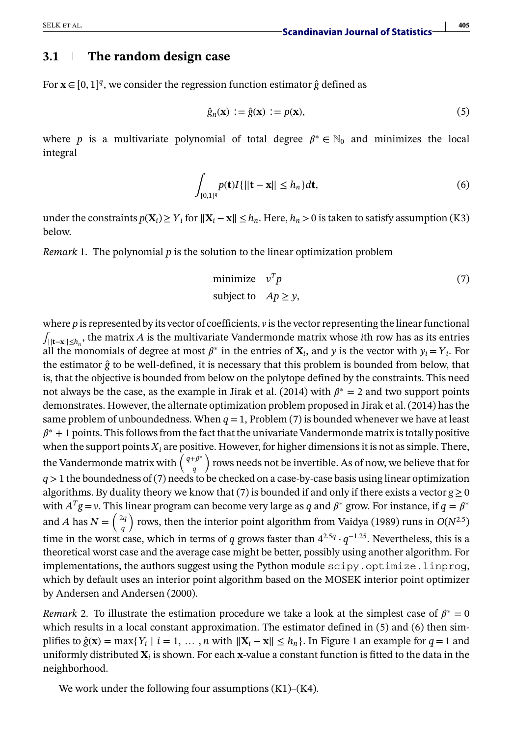### **3.1 The random design case**

For **x**∈[0, 1]*<sup>q</sup>*, we consider the regression function estimator *ĝ* defined as

$$
\hat{g}_n(\mathbf{x}) := \hat{g}(\mathbf{x}) := p(\mathbf{x}),\tag{5}
$$

where *p* is a multivariate polynomial of total degree  $\beta^* \in \mathbb{N}_0$  and minimizes the local integral

$$
\int_{[0,1]^q} p(\mathbf{t}) I\{\|\mathbf{t} - \mathbf{x}\| \le h_n\} d\mathbf{t},\tag{6}
$$

under the constraints  $p(\mathbf{X}_i) \geq Y_i$  for  $\|\mathbf{X}_i - \mathbf{x}\| \leq h_n$ . Here,  $h_n > 0$  is taken to satisfy assumption (K3) below.

*Remark* 1. The polynomial *p* is the solution to the linear optimization problem

$$
\text{minimize} \quad v^T p \tag{7}
$$
\n
$$
\text{subject to} \quad Ap \ge y,
$$

where *p* is represented by its vector of coefficients, *v* is the vector representing the linear functional ∫||**t**−**x**||≤*hn* , the matrix *A* is the multivariate Vandermonde matrix whose *i*th row has as its entries all the monomials of degree at most  $\beta^*$  in the entries of  $\mathbf{X}_i$ , and y is the vector with  $y_i = Y_i$ . For the estimator *ĝ* to be well-defined, it is necessary that this problem is bounded from below, that is, that the objective is bounded from below on the polytope defined by the constraints. This need not always be the case, as the example in Jirak et al. (2014) with  $\beta^* = 2$  and two support points demonstrates. However, the alternate optimization problem proposed in Jirak et al. (2014) has the same problem of unboundedness. When  $q = 1$ , Problem (7) is bounded whenever we have at least  $\beta^*$  + 1 points. This follows from the fact that the univariate Vandermonde matrix is totally positive when the support points  $X_i$  are positive. However, for higher dimensions it is not as simple. There, the Vandermonde matrix with  $\left(\begin{array}{c} q+\beta^* \\ q \end{array}\right)$ ) rows needs not be invertible. As of now, we believe that for *q>*1 the boundedness of (7) needs to be checked on a case-by-case basis using linear optimization algorithms. By duality theory we know that (7) is bounded if and only if there exists a vector  $g \ge 0$ with  $A<sup>T</sup>g = v$ . This linear program can become very large as *q* and  $\beta$ <sup>\*</sup> grow. For instance, if  $q = \beta$ <sup>\*</sup> and *A* has  $N = \begin{pmatrix} 2q \\ q \end{pmatrix}$ *q* ) rows, then the interior point algorithm from Vaidya (1989) runs in  $O(N^{2.5})$ time in the worst case, which in terms of *q* grows faster than  $4^{2.5q} \cdot q^{-1.25}$ . Nevertheless, this is a theoretical worst case and the average case might be better, possibly using another algorithm. For implementations, the authors suggest using the Python module scipy.optimize.linprog, which by default uses an interior point algorithm based on the MOSEK interior point optimizer by Andersen and Andersen (2000).

*Remark* 2. To illustrate the estimation procedure we take a look at the simplest case of  $\beta^* = 0$ which results in a local constant approximation. The estimator defined in  $(5)$  and  $(6)$  then simplifies to  $\hat{g}(\mathbf{x}) = \max\{Y_i \mid i = 1, \dots, n \text{ with } ||\mathbf{X}_i - \mathbf{x}|| \le h_n\}$ . In Figure 1 an example for  $q = 1$  and uniformly distributed  $\mathbf{X}_i$  is shown. For each  $\mathbf{x}$ -value a constant function is fitted to the data in the neighborhood.

We work under the following four assumptions  $(K1)$ – $(K4)$ .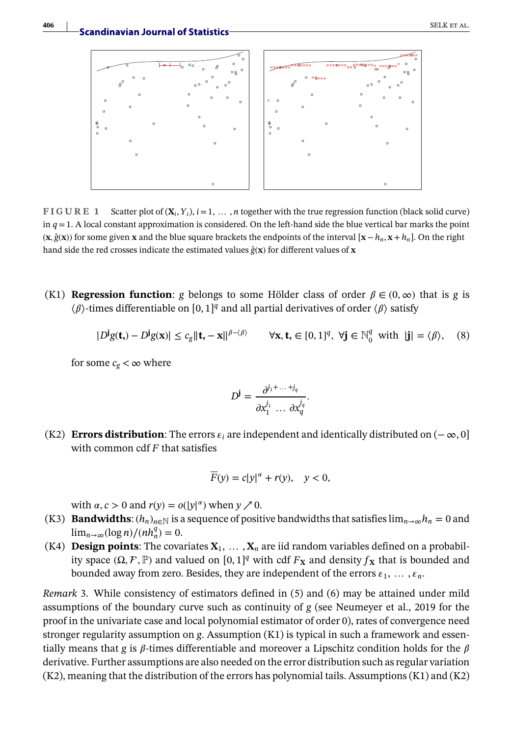

**FIGURE 1** Scatter plot of  $(X_i, Y_i)$ ,  $i = 1, \ldots, n$  together with the true regression function (black solid curve) in  $q = 1$ . A local constant approximation is considered. On the left-hand side the blue vertical bar marks the point (**x***, ĝ*(**x**)) for some given **x** and the blue square brackets the endpoints of the interval [**x**−*hn*, **x**+*hn*]. On the right hand side the red crosses indicate the estimated values  $\hat{g}$ (**x**) for different values of **x** 

(K1) **Regression function**: *g* belongs to some Hölder class of order  $\beta \in (0, \infty)$  that is *g* is  $\langle \beta \rangle$ -times differentiable on [0, 1]<sup>q</sup> and all partial derivatives of order  $\langle \beta \rangle$  satisfy

$$
|D^{\mathbf{j}}g(\mathbf{t}_{n}) - D^{\mathbf{j}}g(\mathbf{x})| \le c_{g} \|\mathbf{t}_{n} - \mathbf{x}\|_{\rho - \langle \beta \rangle} \qquad \forall \mathbf{x}, \mathbf{t}_{n} \in [0, 1]^{q}, \ \forall \mathbf{j} \in \mathbb{N}_{0}^{q} \text{ with } |\mathbf{j}| = \langle \beta \rangle, \tag{8}
$$

for some  $c_g < \infty$  where

$$
D^{\mathbf{j}} = \frac{\partial^{j_1 + \dots + j_q}}{\partial x_1^{j_1} \dots \partial x_q^{j_q}}.
$$

(K2) **Errors distribution**: The errors  $\varepsilon_i$  are independent and identically distributed on ( $-\infty$ , 0] with common cdf *F* that satisfies

$$
\overline{F}(y) = c|y|^{\alpha} + r(y), \quad y < 0,
$$

with  $\alpha$ ,  $c > 0$  and  $r(y) = o(|y|^{\alpha})$  when  $y \nearrow 0$ .

- (K3) **Bandwidths**:  $(h_n)_{n \in \mathbb{N}}$  is a sequence of positive bandwidths that satisfies  $\lim_{n \to \infty} h_n = 0$  and lim<sub>*n*→∞</sub>(log *n*)/(*nh*<sup>*q*</sup><sub>*n*</sub>) = 0.
- (K4) **Design points**: The covariates  $X_1, \ldots, X_n$  are iid random variables defined on a probability space ( $\Omega$ ,  $\mathcal{F}$ ,  $\mathbb{P}$ ) and valued on [0, 1]<sup>q</sup> with cdf  $F$ **x** and density  $f$ **x** that is bounded and bounded away from zero. Besides, they are independent of the errors  $\varepsilon_1, \ldots, \varepsilon_n$ .

*Remark* 3. While consistency of estimators defined in (5) and (6) may be attained under mild assumptions of the boundary curve such as continuity of *g* (see Neumeyer et al., 2019 for the proof in the univariate case and local polynomial estimator of order 0), rates of convergence need stronger regularity assumption on *g*. Assumption (K1) is typical in such a framework and essentially means that *g* is  $\beta$ -times differentiable and moreover a Lipschitz condition holds for the  $\beta$ derivative. Further assumptions are also needed on the error distribution such as regular variation (K2), meaning that the distribution of the errors has polynomial tails. Assumptions (K1) and (K2)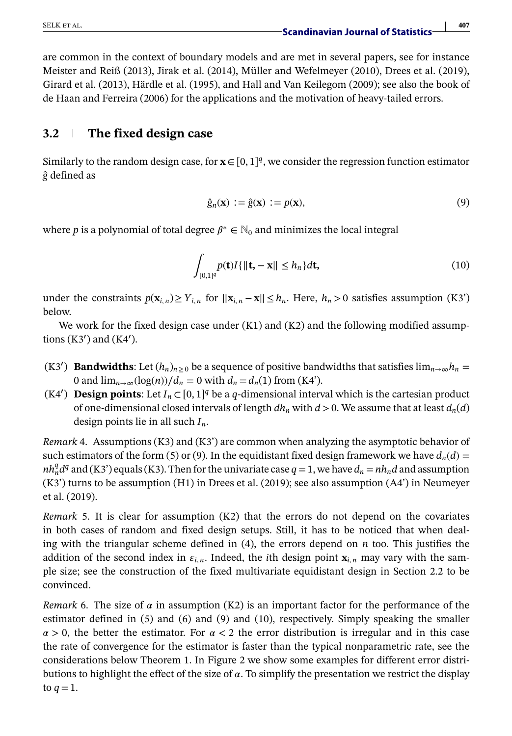are common in the context of boundary models and are met in several papers, see for instance Meister and Reiß (2013), Jirak et al. (2014), Müller and Wefelmeyer (2010), Drees et al. (2019), Girard et al. (2013), Härdle et al. (1995), and Hall and Van Keilegom (2009); see also the book of de Haan and Ferreira (2006) for the applications and the motivation of heavy-tailed errors.

# **3.2 The fixed design case**

Similarly to the random design case, for  $\mathbf{x} \in [0, 1]^q$ , we consider the regression function estimator *ĝ* defined as

$$
\hat{g}_n(\mathbf{x}) := \hat{g}(\mathbf{x}) := p(\mathbf{x}),\tag{9}
$$

where *p* is a polynomial of total degree  $\beta^* \in \mathbb{N}_0$  and minimizes the local integral

$$
\int_{[0,1]^q} p(\mathbf{t}) I\{\|\mathbf{t}, -\mathbf{x}\| \le h_n\} d\mathbf{t},\tag{10}
$$

under the constraints  $p(\mathbf{x}_{i,n}) \ge Y_{i,n}$  for  $\|\mathbf{x}_{i,n} - \mathbf{x}\| \le h_n$ . Here,  $h_n > 0$  satisfies assumption (K3') below.

We work for the fixed design case under  $(K1)$  and  $(K2)$  and the following modified assumptions (K3′ ) and (K4′ ).

- (K3<sup>'</sup>) **Bandwidths**: Let  $(h_n)_{n\geq 0}$  be a sequence of positive bandwidths that satisfies  $\lim_{n\to\infty}h_n=$ 0 and  $\lim_{n\to\infty} (\log(n))/d_n = 0$  with  $d_n = d_n(1)$  from (K4').
- (K4′ ) **Design points**: Let *In ⊂*[0, 1]*<sup>q</sup>* be a *q*-dimensional interval which is the cartesian product of one-dimensional closed intervals of length  $dh_n$  with  $d > 0$ . We assume that at least  $d_n(d)$ design points lie in all such *In*.

*Remark* 4. Assumptions (K3) and (K3') are common when analyzing the asymptotic behavior of such estimators of the form (5) or (9). In the equidistant fixed design framework we have  $d_n(d)$  =  $nh_n^q d^q$  and (K3') equals (K3). Then for the univariate case  $q = 1$ , we have  $d_n = nh_n d$  and assumption  $(K3')$  turns to be assumption  $(H1)$  in Drees et al. (2019); see also assumption  $(A4')$  in Neumeyer et al. (2019).

*Remark* 5. It is clear for assumption (K2) that the errors do not depend on the covariates in both cases of random and fixed design setups. Still, it has to be noticed that when dealing with the triangular scheme defined in (4), the errors depend on *n* too. This justifies the addition of the second index in  $\epsilon_{i,n}$ . Indeed, the *i*th design point  $\mathbf{x}_{i,n}$  may vary with the sample size; see the construction of the fixed multivariate equidistant design in Section 2.2 to be convinced.

*Remark* 6. The size of  $\alpha$  in assumption (K2) is an important factor for the performance of the estimator defined in (5) and (6) and (9) and (10), respectively. Simply speaking the smaller  $\alpha > 0$ , the better the estimator. For  $\alpha < 2$  the error distribution is irregular and in this case the rate of convergence for the estimator is faster than the typical nonparametric rate, see the considerations below Theorem 1. In Figure 2 we show some examples for different error distributions to highlight the effect of the size of  $\alpha$ . To simplify the presentation we restrict the display to  $q=1$ .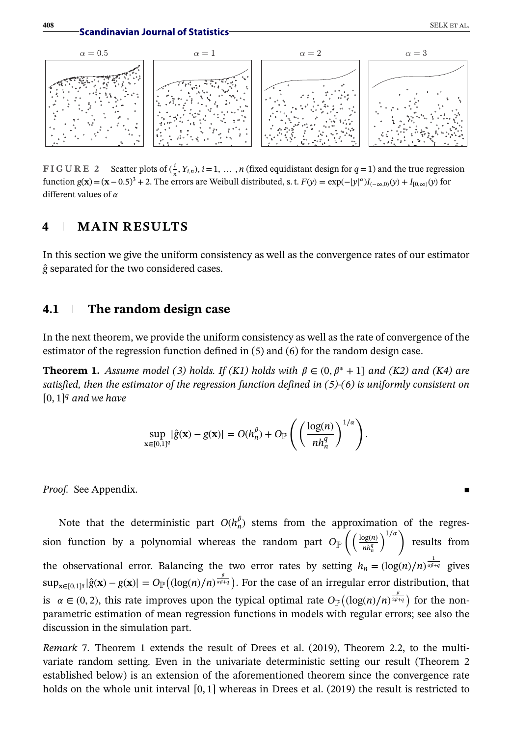

**FIGURE 2** Scatter plots of  $(\frac{i}{n}, Y_{i,n})$ ,  $i = 1, ..., n$  (fixed equidistant design for  $q = 1$ ) and the true regression function  $g(\mathbf{x}) = (\mathbf{x} - 0.5)^3 + 2$ . The errors are Weibull distributed, s. t.  $F(y) = \exp(-|y|^a)I_{(-\infty,0)}(y) + I_{[0,\infty)}(y)$  for different values of  $\alpha$ 

### **4 MAIN RESULTS**

In this section we give the uniform consistency as well as the convergence rates of our estimator *ĝ* separated for the two considered cases.

#### **4.1 The random design case**

In the next theorem, we provide the uniform consistency as well as the rate of convergence of the estimator of the regression function defined in (5) and (6) for the random design case.

**Theorem 1.** *Assume model (3) holds. If (K1) holds with*  $\beta \in (0, \beta^* + 1]$  *and (K2) and (K4) are satisfied, then the estimator of the regression function defined in (5)-(6) is uniformly consistent on* [0, 1]*<sup>q</sup> and we have*

$$
\sup_{\mathbf{x}\in[0,1]^q}|\hat{g}(\mathbf{x})-g(\mathbf{x})|=O(h_n^{\beta})+O_{\mathbb{P}}\left(\left(\frac{\log(n)}{nh_n^q}\right)^{1/\alpha}\right).
$$

*Proof.* See Appendix.

Note that the deterministic part  $O(h_n^{\beta})$  stems from the approximation of the regression function by a polynomial whereas the random part  $O_{\mathbb{P}}\left(\left(\frac{\log(n)}{n\epsilon^2}\right)\right)$  $nh_n^q$  $\setminus^{1/\alpha}$ results from the observational error. Balancing the two error rates by setting  $h_n = (\log(n)/n)^{\frac{1}{a\beta+q}}$  gives  $\sup_{\mathbf{x}\in[0,1]^q}|\hat{g}(\mathbf{x})-g(\mathbf{x})|=O_{\mathbb{P}}((\log(n)/n)^{\frac{\beta}{\alpha\beta+q}})$ . For the case of an irregular error distribution, that is  $\alpha \in (0, 2)$ , this rate improves upon the typical optimal rate  $O_{\mathbb{P}}((\log(n)/n)^{\frac{\beta}{2\beta+q}})$  for the nonparametric estimation of mean regression functions in models with regular errors; see also the discussion in the simulation part.

*Remark* 7. Theorem 1 extends the result of Drees et al. (2019), Theorem 2.2, to the multivariate random setting. Even in the univariate deterministic setting our result (Theorem 2 established below) is an extension of the aforementioned theorem since the convergence rate holds on the whole unit interval [0, 1] whereas in Drees et al. (2019) the result is restricted to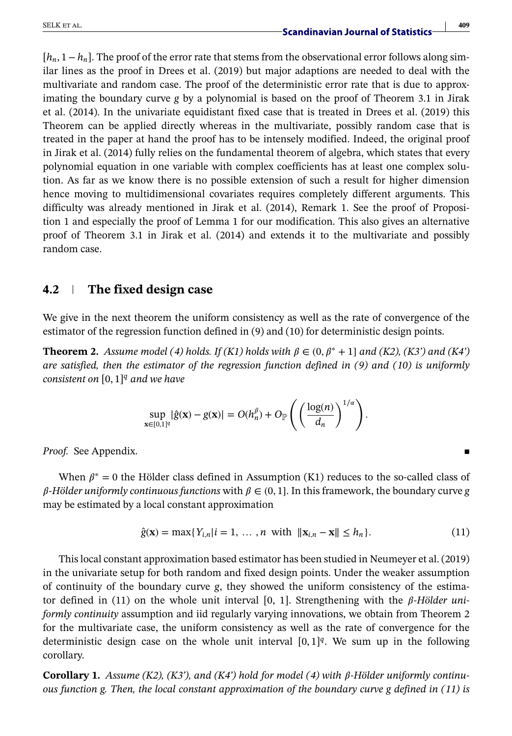# SELK ET AL. **409**<br>**Scandinavian Journal of Statistics**

[*hn*, 1−*hn*]. The proof of the error rate that stems from the observational error follows along similar lines as the proof in Drees et al. (2019) but major adaptions are needed to deal with the multivariate and random case. The proof of the deterministic error rate that is due to approximating the boundary curve *g* by a polynomial is based on the proof of Theorem 3.1 in Jirak et al. (2014). In the univariate equidistant fixed case that is treated in Drees et al. (2019) this Theorem can be applied directly whereas in the multivariate, possibly random case that is treated in the paper at hand the proof has to be intensely modified. Indeed, the original proof in Jirak et al. (2014) fully relies on the fundamental theorem of algebra, which states that every polynomial equation in one variable with complex coefficients has at least one complex solution. As far as we know there is no possible extension of such a result for higher dimension hence moving to multidimensional covariates requires completely different arguments. This difficulty was already mentioned in Jirak et al. (2014), Remark 1. See the proof of Proposition 1 and especially the proof of Lemma 1 for our modification. This also gives an alternative proof of Theorem 3.1 in Jirak et al. (2014) and extends it to the multivariate and possibly random case.

### **4.2 The fixed design case**

We give in the next theorem the uniform consistency as well as the rate of convergence of the estimator of the regression function defined in (9) and (10) for deterministic design points.

**Theorem 2.** *Assume model (4) holds.* If (K1) holds with  $\beta \in (0, \beta^* + 1]$  and (K2), (K3') and (K4') *are satisfied, then the estimator of the regression function defined in (9) and (10) is uniformly consistent on* [0, 1]*<sup>q</sup> and we have*

$$
\sup_{\mathbf{x}\in[0,1]^q}|\hat{g}(\mathbf{x})-g(\mathbf{x})|=O(h_n^{\beta})+O_{\mathbb{P}}\left(\left(\frac{\log(n)}{d_n}\right)^{1/\alpha}\right).
$$

*Proof.* See Appendix.

When  $\beta^* = 0$  the Hölder class defined in Assumption (K1) reduces to the so-called class of  $\beta$ -Hölder uniformly continuous functions with  $\beta \in (0, 1]$ . In this framework, the boundary curve *g* may be estimated by a local constant approximation

$$
\hat{g}(\mathbf{x}) = \max\{Y_{i,n}|i=1,\dots,n \text{ with } ||\mathbf{x}_{i,n} - \mathbf{x}|| \le h_n\}.
$$
 (11)

This local constant approximation based estimator has been studied in Neumeyer et al. (2019) in the univariate setup for both random and fixed design points. Under the weaker assumption of continuity of the boundary curve *g*, they showed the uniform consistency of the estimator defined in (11) on the whole unit interval [0, 1]. Strengthening with the  $\beta$ -*Hölder uniformly continuity* assumption and iid regularly varying innovations, we obtain from Theorem 2 for the multivariate case, the uniform consistency as well as the rate of convergence for the deterministic design case on the whole unit interval  $[0, 1]^{q}$ . We sum up in the following corollary.

**Corollary 1.** Assume (K2), (K3'), and (K4') hold for model (4) with  $\beta$ -Hölder uniformly continu*ous function g. Then, the local constant approximation of the boundary curve g defined in (11) is*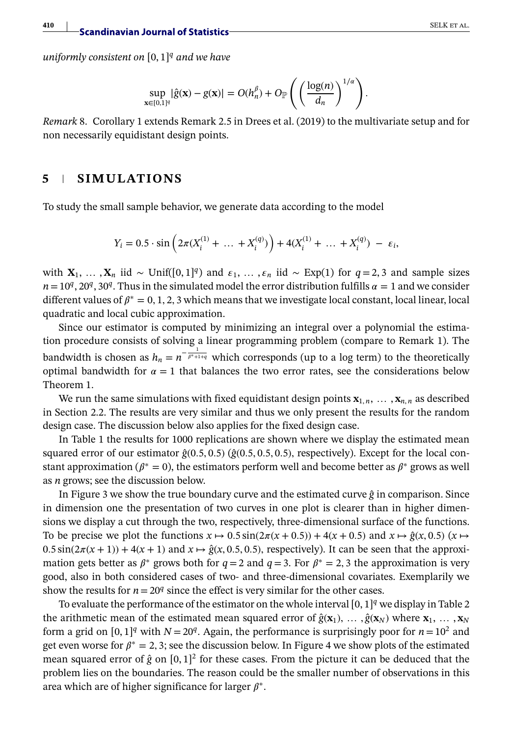**410 Scandinavian Journal of Statistics** SELK ET AL.

*uniformly consistent on* [0, 1]*<sup>q</sup> and we have*

$$
\sup_{\mathbf{x}\in[0,1]^q}|\hat{g}(\mathbf{x})-g(\mathbf{x})|=O(h_n^{\beta})+O_{\mathbb{P}}\left(\left(\frac{\log(n)}{d_n}\right)^{1/\alpha}\right).
$$

*Remark* 8. Corollary 1 extends Remark 2.5 in Drees et al. (2019) to the multivariate setup and for non necessarily equidistant design points.

### **5 SIMULATIONS**

To study the small sample behavior, we generate data according to the model

$$
Y_i = 0.5 \cdot \sin \left( 2\pi (X_i^{(1)} + \dots + X_i^{(q)}) \right) + 4(X_i^{(1)} + \dots + X_i^{(q)}) - \varepsilon_i,
$$

with  $X_1, \ldots, X_n$  iid ∼ Unif([0, 1]<sup>q</sup>) and  $\varepsilon_1, \ldots, \varepsilon_n$  iid ∼ Exp(1) for  $q = 2, 3$  and sample sizes  $n=10<sup>q</sup>$ , 20<sup>*q*</sup>, 30<sup>*q*</sup>. Thus in the simulated model the error distribution fulfills  $\alpha = 1$  and we consider different values of  $\beta^* = 0, 1, 2, 3$  which means that we investigate local constant, local linear, local quadratic and local cubic approximation.

Since our estimator is computed by minimizing an integral over a polynomial the estimation procedure consists of solving a linear programming problem (compare to Remark 1). The bandwidth is chosen as  $h_n = n^{-\frac{1}{\beta^* + 1 + q}}$  which corresponds (up to a log term) to the theoretically optimal bandwidth for  $\alpha = 1$  that balances the two error rates, see the considerations below Theorem 1.

We run the same simulations with fixed equidistant design points  $\mathbf{x}_{1,n}$ ,  $\ldots$ ,  $\mathbf{x}_{n,n}$  as described in Section 2.2. The results are very similar and thus we only present the results for the random design case. The discussion below also applies for the fixed design case.

In Table 1 the results for 1000 replications are shown where we display the estimated mean squared error of our estimator *ĝ*(0*.*5*,* 0*.*5) (*ĝ*(0*.*5*,* 0*.*5*,* 0*.*5)*,* respectively). Except for the local constant approximation ( $\beta^* = 0$ ), the estimators perform well and become better as  $\beta^*$  grows as well as *n* grows; see the discussion below.

In Figure 3 we show the true boundary curve and the estimated curve *ĝ* in comparison. Since in dimension one the presentation of two curves in one plot is clearer than in higher dimensions we display a cut through the two, respectively, three-dimensional surface of the functions. To be precise we plot the functions  $x \mapsto 0.5 \sin(2\pi(x + 0.5)) + 4(x + 0.5)$  and  $x \mapsto \hat{g}(x, 0.5)$  ( $x \mapsto$  $0.5 \sin(2\pi(x+1)) + 4(x+1)$  and  $x \mapsto \hat{g}(x, 0.5, 0.5)$ , respectively). It can be seen that the approximation gets better as  $\beta^*$  grows both for  $q=2$  and  $q=3$ . For  $\beta^* = 2, 3$  the approximation is very good, also in both considered cases of two- and three-dimensional covariates. Exemplarily we show the results for  $n=20<sup>q</sup>$  since the effect is very similar for the other cases.

To evaluate the performance of the estimator on the whole interval  $[0, 1]^q$  we display in Table 2 the arithmetic mean of the estimated mean squared error of  $\hat{g}(\mathbf{x}_1), \dots, \hat{g}(\mathbf{x}_N)$  where  $\mathbf{x}_1, \dots, \mathbf{x}_N$ form a grid on  $[0, 1]^q$  with  $N = 20^q$ . Again, the performance is surprisingly poor for  $n = 10^2$  and get even worse for  $\beta^* = 2, 3$ ; see the discussion below. In Figure 4 we show plots of the estimated mean squared error of  $\hat{g}$  on  $[0, 1]^2$  for these cases. From the picture it can be deduced that the problem lies on the boundaries. The reason could be the smaller number of observations in this area which are of higher significance for larger  $\beta^*$ .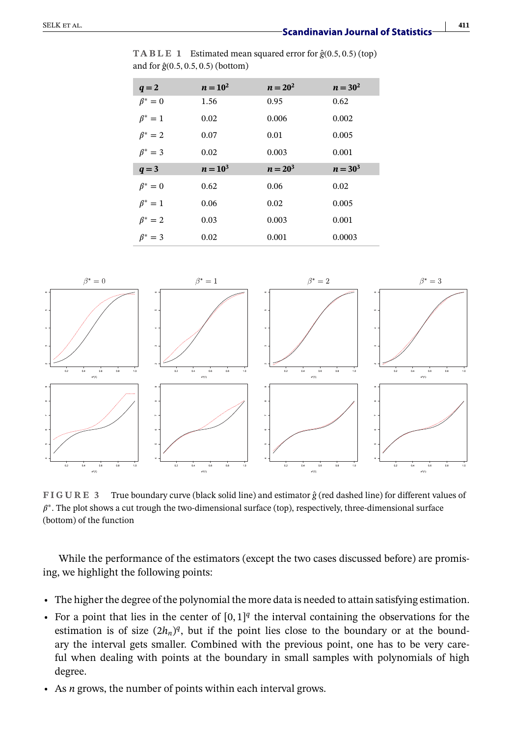| <b>TABLE 1</b> Estimated mean squared error for $\hat{g}(0.5, 0.5)$ (top) |
|---------------------------------------------------------------------------|
| and for $\hat{g}(0.5, 0.5, 0.5)$ (bottom)                                 |

| $q=2$         | $n = 10^2$ | $n = 20^2$ | $n = 30^2$ |
|---------------|------------|------------|------------|
| $\beta^* = 0$ | 1.56       | 0.95       | 0.62       |
| $\beta^* = 1$ | 0.02       | 0.006      | 0.002      |
| $\beta^* = 2$ | 0.07       | 0.01       | 0.005      |
| $\beta^* = 3$ | 0.02       | 0.003      | 0.001      |
| $q = 3$       | $n = 10^3$ | $n = 20^3$ | $n = 30^3$ |
|               |            |            |            |
| $\beta^* = 0$ | 0.62       | 0.06       | 0.02       |
| $\beta^* = 1$ | 0.06       | 0.02       | 0.005      |
| $\beta^* = 2$ | 0.03       | 0.003      | 0.001      |



**FIGURE 3** True boundary curve (black solid line) and estimator *ĝ* (red dashed line) for different values of  $\beta^*$ . The plot shows a cut trough the two-dimensional surface (top), respectively, three-dimensional surface (bottom) of the function

While the performance of the estimators (except the two cases discussed before) are promising, we highlight the following points:

- **•** The higher the degree of the polynomial the more data is needed to attain satisfying estimation.
- For a point that lies in the center of  $[0, 1]^q$  the interval containing the observations for the estimation is of size  $(2h_n)^q$ , but if the point lies close to the boundary or at the boundary the interval gets smaller. Combined with the previous point, one has to be very careful when dealing with points at the boundary in small samples with polynomials of high degree.
- **•** As *n* grows, the number of points within each interval grows.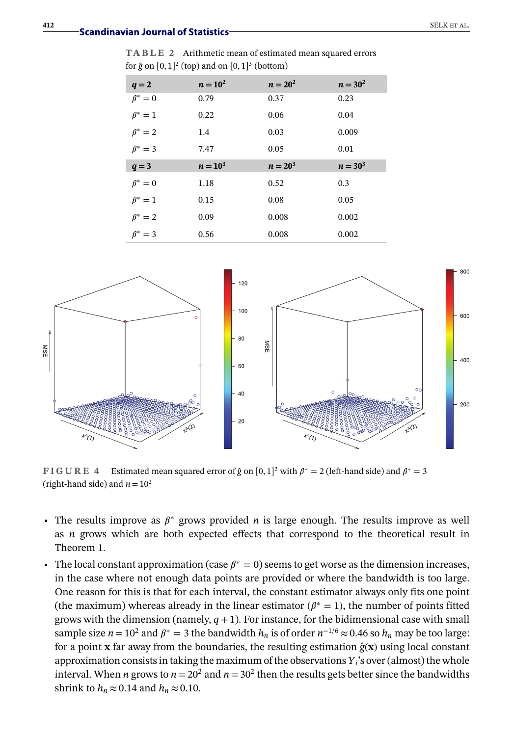**TABLE 2** Arithmetic mean of estimated mean squared errors for  $\hat{g}$  on  $[0, 1]^2$  (top) and on  $[0, 1]^3$  (bottom)

| $q=2$         | $n = 10^2$ | $n = 20^2$ | $n = 30^2$ |
|---------------|------------|------------|------------|
| $\beta^* = 0$ | 0.79       | 0.37       | 0.23       |
| $\beta^* = 1$ | 0.22       | 0.06       | 0.04       |
| $\beta^* = 2$ | 1.4        | 0.03       | 0.009      |
| $\beta^* = 3$ | 7.47       | 0.05       | 0.01       |
|               |            |            |            |
| $q = 3$       | $n = 10^3$ | $n = 20^3$ | $n = 30^3$ |
| $\beta^* = 0$ | 1.18       | 0.52       | 0.3        |
| $\beta^* = 1$ | 0.15       | 0.08       | 0.05       |
| $\beta^* = 2$ | 0.09       | 0.008      | 0.002      |



**FIGURE 4** Estimated mean squared error of  $\hat{g}$  on [0, 1]<sup>2</sup> with  $\beta^* = 2$  (left-hand side) and  $\beta^* = 3$ (right-hand side) and  $n = 10^2$ 

- The results improve as  $\beta^*$  grows provided *n* is large enough. The results improve as well as *n* grows which are both expected effects that correspond to the theoretical result in Theorem 1.
- The local constant approximation (case  $\beta^* = 0$ ) seems to get worse as the dimension increases, in the case where not enough data points are provided or where the bandwidth is too large. One reason for this is that for each interval, the constant estimator always only fits one point (the maximum) whereas already in the linear estimator ( $\beta^* = 1$ ), the number of points fitted grows with the dimension (namely,  $q+1$ ). For instance, for the bidimensional case with small sample size *n*=10<sup>2</sup> and  $\beta^*$  = 3 the bandwidth *h<sub>n</sub>* is of order  $n^{-1/6} \approx 0.46$  so *h<sub>n</sub>* may be too large: for a point **x** far away from the boundaries, the resulting estimation  $\hat{g}$  $\bf{x}$ ) using local constant approximation consists in taking the maximum of the observations *Yi*'s over (almost) the whole interval. When *n* grows to  $n=20^2$  and  $n=30^2$  then the results gets better since the bandwidths shrink to  $h_n \approx 0.14$  and  $h_n \approx 0.10$ .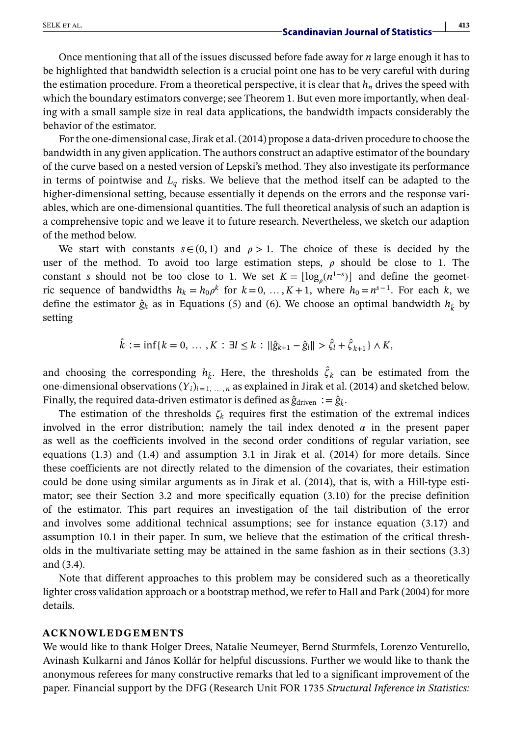Once mentioning that all of the issues discussed before fade away for *n* large enough it has to be highlighted that bandwidth selection is a crucial point one has to be very careful with during the estimation procedure. From a theoretical perspective, it is clear that  $h_n$  drives the speed with which the boundary estimators converge; see Theorem 1. But even more importantly, when dealing with a small sample size in real data applications, the bandwidth impacts considerably the behavior of the estimator.

For the one-dimensional case, Jirak et al. (2014) propose a data-driven procedure to choose the bandwidth in any given application. The authors construct an adaptive estimator of the boundary of the curve based on a nested version of Lepski's method. They also investigate its performance in terms of pointwise and  $L_q$  risks. We believe that the method itself can be adapted to the higher-dimensional setting, because essentially it depends on the errors and the response variables, which are one-dimensional quantities. The full theoretical analysis of such an adaption is a comprehensive topic and we leave it to future research. Nevertheless, we sketch our adaption of the method below.

We start with constants  $s \in (0, 1)$  and  $\rho > 1$ . The choice of these is decided by the user of the method. To avoid too large estimation steps,  $\rho$  should be close to 1. The constant *s* should not be too close to 1. We set  $K = \lfloor \log_{\rho}(n^{1-s}) \rfloor$  and define the geometric sequence of bandwidths  $h_k = h_0 \rho^k$  for  $k = 0, \ldots, K+1$ , where  $h_0 = n^{s-1}$ . For each k, we define the estimator  $\hat{g}_k$  as in Equations (5) and (6). We choose an optimal bandwidth  $h_k$  by setting

$$
\hat{k} := \inf\{k = 0, \ldots, K : \exists l \leq k : ||\hat{g}_{k+1} - \hat{g}_l|| > \hat{\zeta}_l + \hat{\zeta}_{k+1}\} \wedge K,
$$

and choosing the corresponding  $h_k$ . Here, the thresholds  $\hat{\zeta}_k$  can be estimated from the one-dimensional observations  $(Y_i)_{i=1,\dots,n}$  as explained in Jirak et al. (2014) and sketched below. Finally, the required data-driven estimator is defined as  $\hat{g}_{\text{driven}} := \hat{g}_{\hat{k}}$ .

The estimation of the thresholds  $\zeta_k$  requires first the estimation of the extremal indices involved in the error distribution; namely the tail index denoted  $\alpha$  in the present paper as well as the coefficients involved in the second order conditions of regular variation, see equations (1.3) and (1.4) and assumption 3.1 in Jirak et al. (2014) for more details. Since these coefficients are not directly related to the dimension of the covariates, their estimation could be done using similar arguments as in Jirak et al. (2014), that is, with a Hill-type estimator; see their Section 3.2 and more specifically equation (3.10) for the precise definition of the estimator. This part requires an investigation of the tail distribution of the error and involves some additional technical assumptions; see for instance equation (3.17) and assumption 10.1 in their paper. In sum, we believe that the estimation of the critical thresholds in the multivariate setting may be attained in the same fashion as in their sections (3.3) and (3.4).

Note that different approaches to this problem may be considered such as a theoretically lighter cross validation approach or a bootstrap method, we refer to Hall and Park (2004) for more details.

#### **ACKNOWLEDGEMENTS**

We would like to thank Holger Drees, Natalie Neumeyer, Bernd Sturmfels, Lorenzo Venturello, Avinash Kulkarni and János Kollár for helpful discussions. Further we would like to thank the anonymous referees for many constructive remarks that led to a significant improvement of the paper. Financial support by the DFG (Research Unit FOR 1735 *Structural Inference in Statistics:*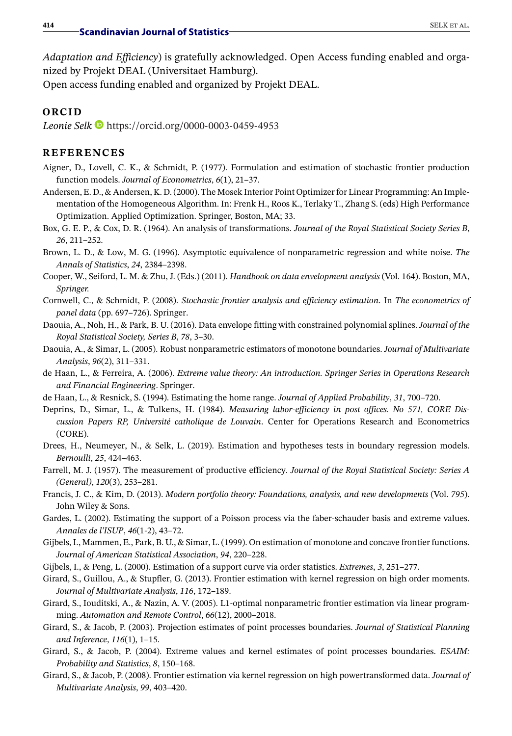*Adaptation and Efficiency*) is gratefully acknowledged. Open Access funding enabled and organized by Projekt DEAL (Universitaet Hamburg).

Open access funding enabled and organized by Projekt DEAL.

#### **ORCID**

*Leonie Selk* <https://orcid.org/0000-0003-0459-4953>

#### **REFERENCES**

- Aigner, D., Lovell, C. K., & Schmidt, P. (1977). Formulation and estimation of stochastic frontier production function models. *Journal of Econometrics*, *6*(1), 21–37.
- Andersen, E. D., & Andersen, K. D. (2000). The Mosek Interior Point Optimizer for Linear Programming: An Implementation of the Homogeneous Algorithm. In: Frenk H., Roos K., Terlaky T., Zhang S. (eds) High Performance Optimization. Applied Optimization. Springer, Boston, MA; 33.
- Box, G. E. P., & Cox, D. R. (1964). An analysis of transformations. *Journal of the Royal Statistical Society Series B*, *26*, 211–252.
- Brown, L. D., & Low, M. G. (1996). Asymptotic equivalence of nonparametric regression and white noise. *The Annals of Statistics*, *24*, 2384–2398.
- Cooper, W., Seiford, L. M. & Zhu, J. (Eds.) (2011). *Handbook on data envelopment analysis* (Vol. 164). Boston, MA, *Springer.*
- Cornwell, C., & Schmidt, P. (2008). *Stochastic frontier analysis and efficiency estimation*. In *The econometrics of panel data* (pp. 697–726). Springer.
- Daouia, A., Noh, H., & Park, B. U. (2016). Data envelope fitting with constrained polynomial splines. *Journal of the Royal Statistical Society, Series B*, *78*, 3–30.
- Daouia, A., & Simar, L. (2005). Robust nonparametric estimators of monotone boundaries. *Journal of Multivariate Analysis*, *96*(2), 311–331.
- de Haan, L., & Ferreira, A. (2006). *Extreme value theory: An introduction. Springer Series in Operations Research and Financial Engineering*. Springer.
- de Haan, L., & Resnick, S. (1994). Estimating the home range. *Journal of Applied Probability*, *31*, 700–720.
- Deprins, D., Simar, L., & Tulkens, H. (1984). *Measuring labor-efficiency in post offices. No 571, CORE Discussion Papers RP, Université catholique de Louvain*. Center for Operations Research and Econometrics (CORE).
- Drees, H., Neumeyer, N., & Selk, L. (2019). Estimation and hypotheses tests in boundary regression models. *Bernoulli*, *25*, 424–463.
- Farrell, M. J. (1957). The measurement of productive efficiency. *Journal of the Royal Statistical Society: Series A (General)*, *120*(3), 253–281.
- Francis, J. C., & Kim, D. (2013). *Modern portfolio theory: Foundations, analysis, and new developments* (Vol. *795*). John Wiley & Sons.
- Gardes, L. (2002). Estimating the support of a Poisson process via the faber-schauder basis and extreme values. *Annales de l'ISUP*, *46*(1-2), 43–72.
- Gijbels, I., Mammen, E., Park, B. U., & Simar, L. (1999). On estimation of monotone and concave frontier functions. *Journal of American Statistical Association*, *94*, 220–228.
- Gijbels, I., & Peng, L. (2000). Estimation of a support curve via order statistics. *Extremes*, *3*, 251–277.
- Girard, S., Guillou, A., & Stupfler, G. (2013). Frontier estimation with kernel regression on high order moments. *Journal of Multivariate Analysis*, *116*, 172–189.
- Girard, S., Iouditski, A., & Nazin, A. V. (2005). L1-optimal nonparametric frontier estimation via linear programming. *Automation and Remote Control*, *66*(12), 2000–2018.
- Girard, S., & Jacob, P. (2003). Projection estimates of point processes boundaries. *Journal of Statistical Planning and Inference*, *116*(1), 1–15.
- Girard, S., & Jacob, P. (2004). Extreme values and kernel estimates of point processes boundaries. *ESAIM: Probability and Statistics*, *8*, 150–168.
- Girard, S., & Jacob, P. (2008). Frontier estimation via kernel regression on high powertransformed data. *Journal of Multivariate Analysis*, *99*, 403–420.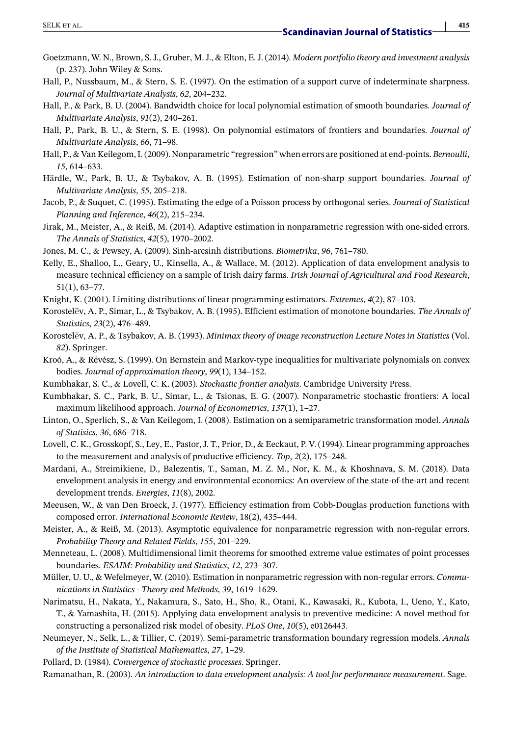- Goetzmann, W. N., Brown, S. J., Gruber, M. J., & Elton, E. J. (2014). *Modern portfolio theory and investment analysis* (p. 237). John Wiley & Sons.
- Hall, P., Nussbaum, M., & Stern, S. E. (1997). On the estimation of a support curve of indeterminate sharpness. *Journal of Multivariate Analysis*, *62*, 204–232.
- Hall, P., & Park, B. U. (2004). Bandwidth choice for local polynomial estimation of smooth boundaries. *Journal of Multivariate Analysis*, *91*(2), 240–261.
- Hall, P., Park, B. U., & Stern, S. E. (1998). On polynomial estimators of frontiers and boundaries. *Journal of Multivariate Analysis*, *66*, 71–98.
- Hall, P., & Van Keilegom, I. (2009). Nonparametric "regression" when errors are positioned at end-points. *Bernoulli*, *15*, 614–633.
- Härdle, W., Park, B. U., & Tsybakov, A. B. (1995). Estimation of non-sharp support boundaries. *Journal of Multivariate Analysis*, *55*, 205–218.
- Jacob, P., & Suquet, C. (1995). Estimating the edge of a Poisson process by orthogonal series. *Journal of Statistical Planning and Inference*, *46*(2), 215–234.
- Jirak, M., Meister, A., & Reiß, M. (2014). Adaptive estimation in nonparametric regression with one-sided errors. *The Annals of Statistics*, *42*(5), 1970–2002.
- Jones, M. C., & Pewsey, A. (2009). Sinh-arcsinh distributions. *Biometrika*, *96*, 761–780.
- Kelly, E., Shalloo, L., Geary, U., Kinsella, A., & Wallace, M. (2012). Application of data envelopment analysis to measure technical efficiency on a sample of Irish dairy farms. *Irish Journal of Agricultural and Food Research*, 51(1), 63–77.
- Knight, K. (2001). Limiting distributions of linear programming estimators. *Extremes*, *4*(2), 87–103.
- Korostelëv, A. P., Simar, L., & Tsybakov, A. B. (1995). Efficient estimation of monotone boundaries. *The Annals of Statistics*, *23*(2), 476–489.
- Korostelëv, A. P., & Tsybakov, A. B. (1993). *Minimax theory of image reconstruction Lecture Notes in Statistics* (Vol. *82*). Springer.
- Kroó, A., & Révész, S. (1999). On Bernstein and Markov-type inequalities for multivariate polynomials on convex bodies. *Journal of approximation theory*, *99*(1), 134–152.
- Kumbhakar, S. C., & Lovell, C. K. (2003). *Stochastic frontier analysis*. Cambridge University Press.
- Kumbhakar, S. C., Park, B. U., Simar, L., & Tsionas, E. G. (2007). Nonparametric stochastic frontiers: A local maximum likelihood approach. *Journal of Econometrics*, *137*(1), 1–27.
- Linton, O., Sperlich, S., & Van Keilegom, I. (2008). Estimation on a semiparametric transformation model. *Annals of Statisics*, *36*, 686–718.
- Lovell, C. K., Grosskopf, S., Ley, E., Pastor, J. T., Prior, D., & Eeckaut, P. V. (1994). Linear programming approaches to the measurement and analysis of productive efficiency. *Top*, *2*(2), 175–248.
- Mardani, A., Streimikiene, D., Balezentis, T., Saman, M. Z. M., Nor, K. M., & Khoshnava, S. M. (2018). Data envelopment analysis in energy and environmental economics: An overview of the state-of-the-art and recent development trends. *Energies*, *11*(8), 2002.
- Meeusen, W., & van Den Broeck, J. (1977). Efficiency estimation from Cobb-Douglas production functions with composed error. *International Economic Review*, 18(2), 435–444.
- Meister, A., & Reiß, M. (2013). Asymptotic equivalence for nonparametric regression with non-regular errors. *Probability Theory and Related Fields*, *155*, 201–229.
- Menneteau, L. (2008). Multidimensional limit theorems for smoothed extreme value estimates of point processes boundaries. *ESAIM: Probability and Statistics*, *12*, 273–307.
- Müller, U. U., & Wefelmeyer, W. (2010). Estimation in nonparametric regression with non-regular errors. *Communications in Statistics - Theory and Methods*, *39*, 1619–1629.
- Narimatsu, H., Nakata, Y., Nakamura, S., Sato, H., Sho, R., Otani, K., Kawasaki, R., Kubota, I., Ueno, Y., Kato, T., & Yamashita, H. (2015). Applying data envelopment analysis to preventive medicine: A novel method for constructing a personalized risk model of obesity. *PLoS One*, *10*(5), e0126443.
- Neumeyer, N., Selk, L., & Tillier, C. (2019). Semi-parametric transformation boundary regression models. *Annals of the Institute of Statistical Mathematics*, *27*, 1–29.
- Pollard, D. (1984). *Convergence of stochastic processes*. Springer.
- Ramanathan, R. (2003). *An introduction to data envelopment analysis: A tool for performance measurement*. Sage.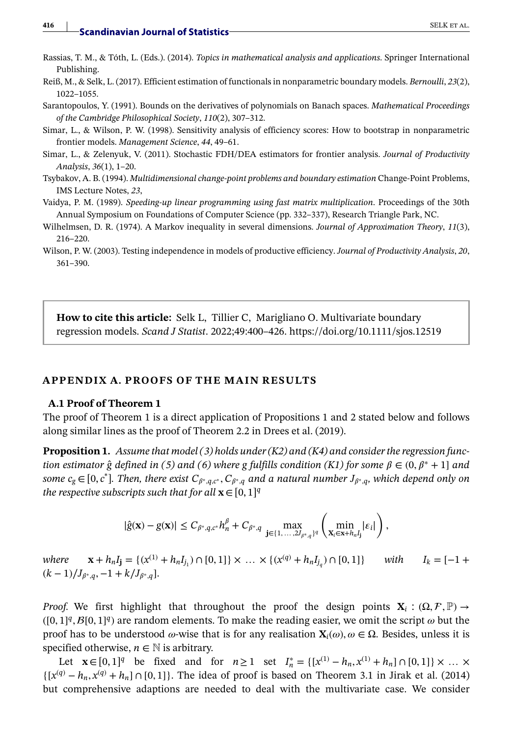- Rassias, T. M., & Tóth, L. (Eds.). (2014). *Topics in mathematical analysis and applications*. Springer International Publishing.
- Reiß, M., & Selk, L. (2017). Efficient estimation of functionals in nonparametric boundary models. *Bernoulli*, *23*(2), 1022–1055.
- Sarantopoulos, Y. (1991). Bounds on the derivatives of polynomials on Banach spaces. *Mathematical Proceedings of the Cambridge Philosophical Society*, *110*(2), 307–312.
- Simar, L., & Wilson, P. W. (1998). Sensitivity analysis of efficiency scores: How to bootstrap in nonparametric frontier models. *Management Science*, *44*, 49–61.
- Simar, L., & Zelenyuk, V. (2011). Stochastic FDH/DEA estimators for frontier analysis. *Journal of Productivity Analysis*, *36*(1), 1–20.
- Tsybakov, A. B. (1994). *Multidimensional change-point problems and boundary estimation* Change-Point Problems, IMS Lecture Notes, *23*,
- Vaidya, P. M. (1989). *Speeding-up linear programming using fast matrix multiplication*. Proceedings of the 30th Annual Symposium on Foundations of Computer Science (pp. 332–337), Research Triangle Park, NC.
- Wilhelmsen, D. R. (1974). A Markov inequality in several dimensions. *Journal of Approximation Theory*, *11*(3), 216–220.
- Wilson, P. W. (2003). Testing independence in models of productive efficiency. *Journal of Productivity Analysis*, *20*, 361–390.

**How to cite this article:** Selk L, Tillier C, Marigliano O. Multivariate boundary regression models. *Scand J Statist*. 2022;49:400–426. https://doi.org/10.1111/sjos.12519

#### **APPENDIX A. PROOFS OF THE MAIN RESULTS**

#### **A.1 Proof of Theorem 1**

The proof of Theorem 1 is a direct application of Propositions 1 and 2 stated below and follows along similar lines as the proof of Theorem 2.2 in Drees et al. (2019).

**Proposition 1.** *Assume that model (3) holds under (K2) and (K4) and consider the regression function estimator*  $\hat{g}$  *defined in (5) and (6) where g fulfills condition (K1) for some*  $\beta \in (0, \beta^* + 1]$  *and some cg* ∈[0, *c*\* ]*. Then, there exist C*∗*,q,c*<sup>∗</sup> *, C*∗*,<sup>q</sup> and a natural number J*∗*,q, which depend only on the respective subscripts such that for all*  $\mathbf{x} \in [0, 1]^q$ 

$$
|\hat{g}(\mathbf{x})-g(\mathbf{x})|\leq C_{\beta^*,q,c^*}h_n^{\beta}+C_{\beta^*,q}\max_{\mathbf{j}\in\{1,\ldots,2J_{\beta^*,q}\}^q}\left(\min_{\mathbf{x}_i\in\mathbf{x}+h_nI_{\mathbf{j}}}|\varepsilon_i|\right),
$$

*where*  $\mathbf{x} + h_n I_j = \{ (x^{(1)} + h_n I_{j_1}) \cap [0, 1] \} \times ... \times \{ (x^{(q)} + h_n I_{j_q}) \cap [0, 1] \}$  *with I<sub>k</sub>* = [−1 +  $(k-1)/J_{\beta^*,q}, -1+k/J_{\beta^*,q}$ .

*Proof.* We first highlight that throughout the proof the design points  $X_i$  :  $(\Omega, \mathcal{F}, \mathbb{P}) \to$  $([0, 1]^q$ ,  $\mathcal{B}[0, 1]^q$ ) are random elements. To make the reading easier, we omit the script  $\omega$  but the proof has to be understood  $\omega$ -wise that is for any realisation  $\mathbf{X}_i(\omega)$ ,  $\omega \in \Omega$ . Besides, unless it is specified otherwise,  $n \in \mathbb{N}$  is arbitrary.

Let  $\mathbf{x} \in [0, 1]^q$  be fixed and for  $n \ge 1$  set  $I_n^* = \{ [x^{(1)} - h_n, x^{(1)} + h_n] \cap [0, 1] \} \times ... \times$  $\{ [x^{(q)} - h_n, x^{(q)} + h_n] \cap [0, 1] \}$ . The idea of proof is based on Theorem 3.1 in Jirak et al. (2014) but comprehensive adaptions are needed to deal with the multivariate case. We consider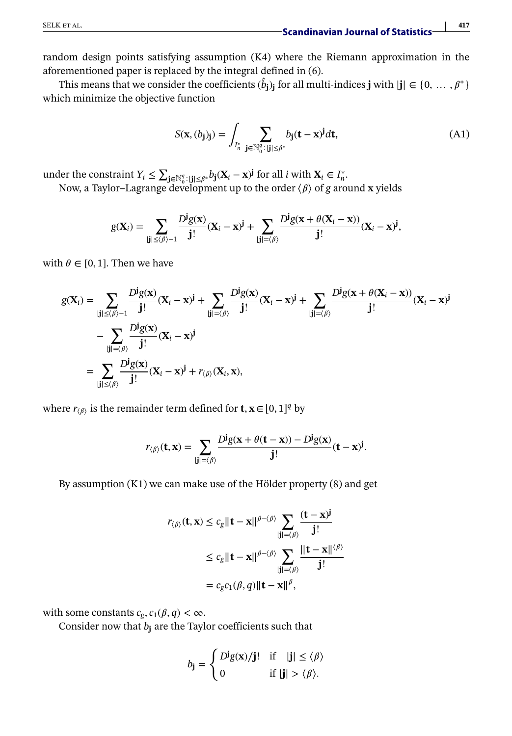random design points satisfying assumption (K4) where the Riemann approximation in the aforementioned paper is replaced by the integral defined in (6).

This means that we consider the coefficients  $(\hat{b}_j)_j$  for all multi-indices **j** with  $|\mathbf{j}| \in \{0, \dots, \beta^*\}$ which minimize the objective function

$$
S(\mathbf{x}, (b_j)_j) = \int_{I_{n}^*} \sum_{\mathbf{j} \in \mathbb{N}_0^q : |\mathbf{j}| \le \beta^*} b_j(\mathbf{t} - \mathbf{x})^j d\mathbf{t},\tag{A1}
$$

under the constraint  $Y_i \le \sum_{j \in \mathbb{N}_0^q} \sum_{j \in \mathbb{N}_0^q} b_j(X_i - x)^j$  for all *i* with  $X_i \in I_n^*$ .

Now, a Taylor–Lagrange development up to the order  $\langle \beta \rangle$  of g around **x** yields

$$
g(\mathbf{X}_i) = \sum_{|\mathbf{j}| \le \langle \beta \rangle - 1} \frac{D^{\mathbf{j}} g(\mathbf{x})}{\mathbf{j}!} (\mathbf{X}_i - \mathbf{x})^{\mathbf{j}} + \sum_{|\mathbf{j}| = \langle \beta \rangle} \frac{D^{\mathbf{j}} g(\mathbf{x} + \theta(\mathbf{X}_i - \mathbf{x}))}{\mathbf{j}!} (\mathbf{X}_i - \mathbf{x})^{\mathbf{j}},
$$

with  $\theta \in [0, 1]$ . Then we have

$$
g(\mathbf{X}_{i}) = \sum_{|\mathbf{j}| \leq \langle \beta \rangle - 1} \frac{D^{j}g(\mathbf{x})}{\mathbf{j}!} (\mathbf{X}_{i} - \mathbf{x})^{\mathbf{j}} + \sum_{|\mathbf{j}| = \langle \beta \rangle} \frac{D^{j}g(\mathbf{x})}{\mathbf{j}!} (\mathbf{X}_{i} - \mathbf{x})^{\mathbf{j}} + \sum_{|\mathbf{j}| = \langle \beta \rangle} \frac{D^{j}g(\mathbf{x} + \theta(\mathbf{X}_{i} - \mathbf{x}))}{\mathbf{j}!} (\mathbf{X}_{i} - \mathbf{x})^{\mathbf{j}} - \sum_{|\mathbf{j}| = \langle \beta \rangle} \frac{D^{j}g(\mathbf{x})}{\mathbf{j}!} (\mathbf{X}_{i} - \mathbf{x})^{\mathbf{j}} + r_{\langle \beta \rangle} (\mathbf{X}_{i}, \mathbf{x}),
$$

where  $r_{\langle \beta \rangle}$  is the remainder term defined for **t**, **x** ∈ [0, 1]<sup>*q*</sup> by

$$
r_{\langle \beta \rangle}(\mathbf{t}, \mathbf{x}) = \sum_{|\mathbf{j}| = \langle \beta \rangle} \frac{D^{\mathbf{j}} g(\mathbf{x} + \theta(\mathbf{t} - \mathbf{x})) - D^{\mathbf{j}} g(\mathbf{x})}{\mathbf{j}!} (\mathbf{t} - \mathbf{x})^{\mathbf{j}}.
$$

By assumption (K1) we can make use of the Hölder property (8) and get

$$
r_{\langle \beta \rangle}(\mathbf{t}, \mathbf{x}) \le c_g \|\mathbf{t} - \mathbf{x}\|^{ \beta - \langle \beta \rangle} \sum_{|\mathbf{j}| = \langle \beta \rangle} \frac{(\mathbf{t} - \mathbf{x})^{\mathbf{j}}}{\mathbf{j}!}
$$
  
\n
$$
\le c_g \|\mathbf{t} - \mathbf{x}\|^{ \beta - \langle \beta \rangle} \sum_{|\mathbf{j}| = \langle \beta \rangle} \frac{\|\mathbf{t} - \mathbf{x}\|^{ \langle \beta \rangle}}{\mathbf{j}!}
$$
  
\n
$$
= c_g c_1(\beta, q) \|\mathbf{t} - \mathbf{x}\|^{ \beta},
$$

with some constants  $c_g$ ,  $c_1(\beta, q) < \infty$ .

Consider now that  $b_i$  are the Taylor coefficients such that

$$
b_{\mathbf{j}} = \begin{cases} D^{\mathbf{j}}g(\mathbf{x})/\mathbf{j}! & \text{if} \quad |\mathbf{j}| \le \langle \beta \rangle \\ 0 & \text{if } |\mathbf{j}| > \langle \beta \rangle. \end{cases}
$$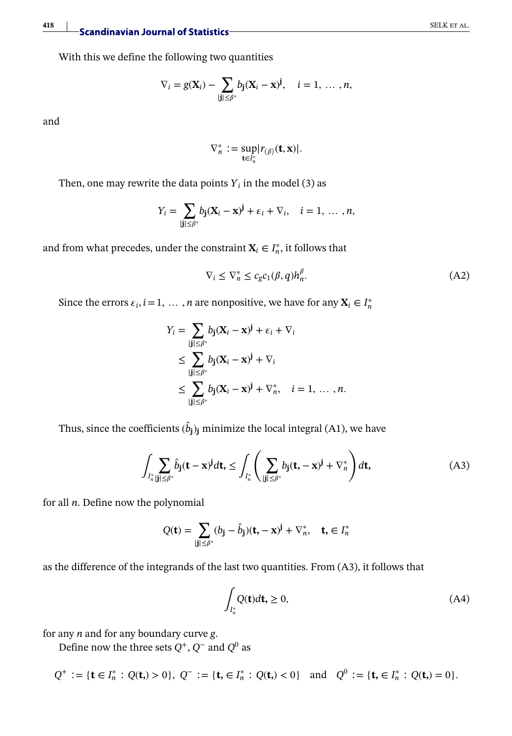# **418** Scandinavian Journal of Statistics SELK ET AL.

With this we define the following two quantities

$$
\nabla_i = g(\mathbf{X}_i) - \sum_{|\mathbf{j}| \leq \beta^*} b_{\mathbf{j}} (\mathbf{X}_i - \mathbf{x})^{\mathbf{j}}, \quad i = 1, \ldots, n,
$$

and

$$
\nabla_n^* := \sup_{\mathbf{t} \in I_n^*} |r_{\langle \beta \rangle}(\mathbf{t}, \mathbf{x})|.
$$

Then, one may rewrite the data points  $Y_i$  in the model (3) as

$$
Y_i = \sum_{|\mathbf{j}| \leq \beta^*} b_{\mathbf{j}} (\mathbf{X}_i - \mathbf{x})^{\mathbf{j}} + \varepsilon_i + \nabla_i, \quad i = 1, \ldots, n,
$$

and from what precedes, under the constraint  $X_i \in I_n^*$ , it follows that

$$
\nabla_i \le \nabla_n^* \le c_g c_1(\beta, q) h_n^{\beta}.
$$
\n(A2)

Since the errors  $\varepsilon_i$ ,  $i = 1, \dots, n$  are nonpositive, we have for any  $\mathbf{X}_i \in I_n^*$ 

$$
Y_i = \sum_{|\mathbf{j}| \leq \beta^*} b_{\mathbf{j}} (\mathbf{X}_i - \mathbf{x})^{\mathbf{j}} + \varepsilon_i + \nabla_i
$$
  
\n
$$
\leq \sum_{|\mathbf{j}| \leq \beta^*} b_{\mathbf{j}} (\mathbf{X}_i - \mathbf{x})^{\mathbf{j}} + \nabla_i
$$
  
\n
$$
\leq \sum_{|\mathbf{j}| \leq \beta^*} b_{\mathbf{j}} (\mathbf{X}_i - \mathbf{x})^{\mathbf{j}} + \nabla_n^*, \quad i = 1, ..., n.
$$

Thus, since the coefficients  $(\hat{b}_{\bf j})_{\bf j}$  minimize the local integral (A1), we have

$$
\int_{I_n^*} \sum_{|\mathbf{j}| \leq \beta^*} \hat{b}_{\mathbf{j}}(\mathbf{t} - \mathbf{x})^{\mathbf{j}} d\mathbf{t}, \leq \int_{I_n^*} \left( \sum_{|\mathbf{j}| \leq \beta^*} b_{\mathbf{j}}(\mathbf{t}, -\mathbf{x})^{\mathbf{j}} + \nabla_n^* \right) d\mathbf{t}, \tag{A3}
$$

for all *n*. Define now the polynomial

$$
Q(\mathbf{t}) = \sum_{|\mathbf{j}| \leq \beta^*} (b_{\mathbf{j}} - \hat{b}_{\mathbf{j}})(\mathbf{t}, -\mathbf{x})^{\mathbf{j}} + \nabla_n^*, \quad \mathbf{t}, \in I_n^*
$$

as the difference of the integrands of the last two quantities. From (A3), it follows that

$$
\int_{I_n^*} Q(\mathbf{t}) d\mathbf{t}, \ge 0,
$$
\n(A4)

for any *n* and for any boundary curve *g*.

Define now the three sets *Q*<sup>+</sup>, *Q*<sup>−</sup> and *Q*<sup>0</sup> as

$$
Q^+ := \{ \mathbf{t} \in I_n^* : Q(\mathbf{t}) > 0 \}, \ Q^- := \{ \mathbf{t}, \in I_n^* : Q(\mathbf{t}) < 0 \} \text{ and } Q^0 := \{ \mathbf{t}, \in I_n^* : Q(\mathbf{t}) = 0 \}.
$$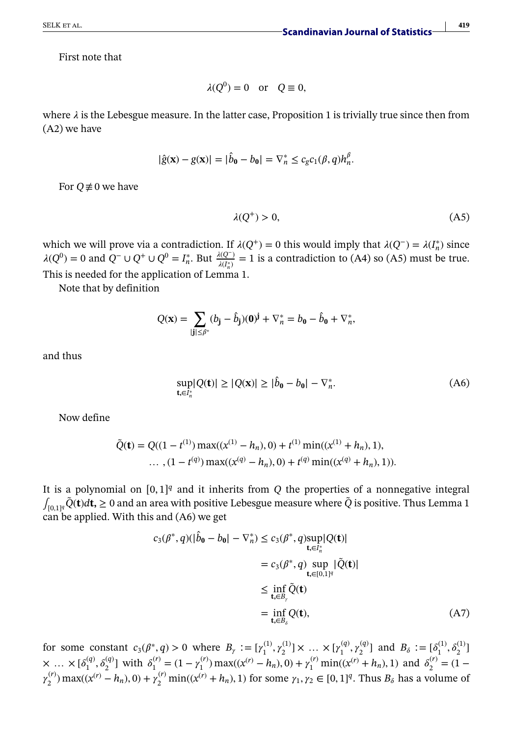First note that

$$
\lambda(Q^0) = 0 \quad \text{or} \quad Q \equiv 0,
$$

where  $\lambda$  is the Lebesgue measure. In the latter case, Proposition 1 is trivially true since then from (A2) we have

$$
|\hat{g}(\mathbf{x}) - g(\mathbf{x})| = |\hat{b}_{\mathbf{0}} - b_{\mathbf{0}}| = \nabla_n^* \le c_g c_1(\beta, q) h_n^{\beta}.
$$

For  $Q \neq 0$  we have

$$
\lambda(Q^+) > 0,\tag{A5}
$$

which we will prove via a contradiction. If  $\lambda(Q^+) = 0$  this would imply that  $\lambda(Q^-) = \lambda(I_n^*)$  since  $\lambda(Q^0) = 0$  and  $Q^-$  ∪  $Q^+$  ∪  $Q^0 = I_n^*$ . But  $\frac{\lambda(Q^-)}{\lambda(I_n^*)} = 1$  is a contradiction to (A4) so (A5) must be true. This is needed for the application of Lemma 1.

Note that by definition

$$
Q(\mathbf{x}) = \sum_{|\mathbf{j}| \leq \beta^*} (b_{\mathbf{j}} - \hat{b}_{\mathbf{j}})(\mathbf{0})^{\mathbf{j}} + \nabla_n^* = b_{\mathbf{0}} - \hat{b}_{\mathbf{0}} + \nabla_n^*,
$$

and thus

$$
\sup_{\mathbf{t}, \in I_n^*} |Q(\mathbf{t})| \ge |Q(\mathbf{x})| \ge |\hat{b}_0 - b_0| - \nabla_n^*.
$$
 (A6)

Now define

$$
\tilde{Q}(\mathbf{t}) = Q((1 - t^{(1)}) \max((x^{(1)} - h_n), 0) + t^{(1)} \min((x^{(1)} + h_n), 1),
$$
  
..., (1 - t<sup>(q)</sup>) max((x<sup>(q)</sup> - h\_n), 0) + t<sup>(q)</sup> min((x<sup>(q)</sup> + h\_n), 1)).

It is a polynomial on  $[0, 1]^q$  and it inherits from  $Q$  the properties of a nonnegative integral  $\int_{[0,1]^q} \tilde{Q}(t) dt$ , ≥ 0 and an area with positive Lebesgue measure where  $\tilde{Q}$  is positive. Thus Lemma 1 can be applied. With this and (A6) we get

$$
c_3(\beta^*, q)(|\hat{b}_0 - b_0| - \nabla_n^*) \le c_3(\beta^*, q) \sup_{\mathbf{t}, \in I_n^*} |Q(\mathbf{t})|
$$
  
\n
$$
= c_3(\beta^*, q) \sup_{\mathbf{t}, \in [0,1]^q} |\tilde{Q}(\mathbf{t})|
$$
  
\n
$$
\le \inf_{\mathbf{t}, \in B_\gamma} \tilde{Q}(\mathbf{t})
$$
  
\n
$$
= \inf_{\mathbf{t}, \in B_\delta} Q(\mathbf{t}),
$$
 (A7)

for some constant  $c_3(\beta^*, q) > 0$  where  $B_\gamma := [\gamma_1^{(1)}, \gamma_2^{(1)}] \times ... \times [\gamma_1^{(q)}, \gamma_2^{(q)}]$  and  $B_\delta := [\delta_1^{(1)}, \delta_2^{(1)}]$  $\times \ldots \times [\delta_1^{(q)}, \delta_2^{(q)}]$  with  $\delta_1^{(r)} = (1 - \gamma_1^{(r)}) \max((x^{(r)} - h_n), 0) + \gamma_1^{(r)} \min((x^{(r)} + h_n), 1)$  and  $\delta_2^{(r)} = (1 - \gamma_1^{(r)}) \max((x^{(r)} - h_n), 0) + \gamma_2^{(r)} \min((x^{(r)} - h_n), 1)$  $\gamma_2^{(r)}$ ) max(( $x^{(r)} - h_n$ ), 0) +  $\gamma_2^{(r)}$  min(( $x^{(r)} + h_n$ ), 1) for some  $\gamma_1, \gamma_2 \in [0, 1]^q$ . Thus  $B_\delta$  has a volume of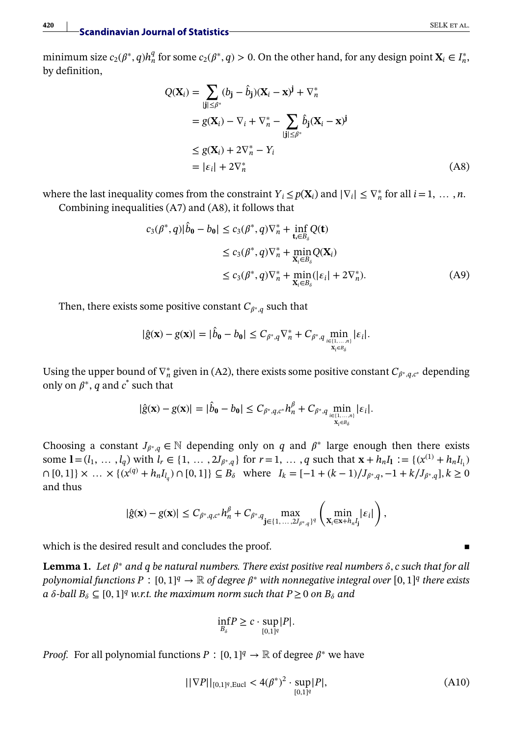minimum size  $c_2(\beta^*, q)h_n^q$  for some  $c_2(\beta^*, q) > 0$ . On the other hand, for any design point  $\mathbf{X}_i \in I_n^*$ , by definition,

$$
Q(\mathbf{X}_{i}) = \sum_{|\mathbf{j}| \leq \beta^{*}} (b_{\mathbf{j}} - \hat{b}_{\mathbf{j}}) (\mathbf{X}_{i} - \mathbf{x})^{\mathbf{j}} + \nabla_{n}^{*}
$$
  
\n
$$
= g(\mathbf{X}_{i}) - \nabla_{i} + \nabla_{n}^{*} - \sum_{|\mathbf{j}| \leq \beta^{*}} \hat{b}_{\mathbf{j}} (\mathbf{X}_{i} - \mathbf{x})^{\mathbf{j}}
$$
  
\n
$$
\leq g(\mathbf{X}_{i}) + 2\nabla_{n}^{*} - Y_{i}
$$
  
\n
$$
= |\varepsilon_{i}| + 2\nabla_{n}^{*} \qquad (A8)
$$

where the last inequality comes from the constraint  $Y_i \leq p(\mathbf{X}_i)$  and  $|\nabla_i| \leq \nabla_n^*$  for all  $i = 1, \ldots, n$ . Combining inequalities (A7) and (A8), it follows that

$$
c_3(\beta^*, q)|\hat{b}_0 - b_0| \le c_3(\beta^*, q)\nabla_n^* + \inf_{\mathbf{t}_i \in B_\delta} Q(\mathbf{t})
$$
  
\n
$$
\le c_3(\beta^*, q)\nabla_n^* + \min_{\mathbf{X}_i \in B_\delta} Q(\mathbf{X}_i)
$$
  
\n
$$
\le c_3(\beta^*, q)\nabla_n^* + \min_{\mathbf{X}_i \in B_\delta} (|\varepsilon_i| + 2\nabla_n^*).
$$
 (A9)

Then, there exists some positive constant  $C_{\beta^*,q}$  such that

$$
|\hat{g}(\mathbf{x}) - g(\mathbf{x})| = |\hat{b}_0 - b_0| \leq C_{\beta^*, q} \nabla_n^* + C_{\beta^*, q} \min_{\substack{i \in \{1, \ldots, n\} \\ \mathbf{x}_i \in B_{\delta}}} |\varepsilon_i|.
$$

Using the upper bound of  $\nabla_n^*$  given in (A2), there exists some positive constant  $C_{\beta^*,q,c^*}$  depending only on  $\beta^*$ , *q* and  $c^*$  such that

$$
|\hat{g}(\mathbf{x}) - g(\mathbf{x})| = |\hat{b}_{\mathbf{0}} - b_{\mathbf{0}}| \leq C_{\beta^*, q, c^*} h_n^{\beta} + C_{\beta^*, q} \min_{\substack{i \in [1, \ldots, n] \\ X_i \in B_{\delta}}} |\varepsilon_i|.
$$

Choosing a constant  $J_{\beta^*,q} \in \mathbb{N}$  depending only on *q* and  $\beta^*$  large enough then there exists some **l** =  $(l_1, ..., l_q)$  with  $l_r \in \{1, ..., 2J_{\beta^*,q}\}$  for  $r = 1, ..., q$  such that  $\mathbf{x} + h_n I_1 := \{(x^{(1)} + h_n I_{l_1})$  $[0,1]$   $\times ... \times \{(x^{(q)} + h_n I_{l_q}) \cap [0,1]\} \subseteq B_\delta$  where  $I_k = [-1 + (k-1)/J_{\beta^*,q}, -1 + k/J_{\beta^*,q}], k \ge 0$ and thus

$$
|\hat{g}(\mathbf{x})-g(\mathbf{x})|\leq C_{\beta^*,q,c^*}h_n^{\beta}+C_{\beta^*,q}\max_{\mathbf{j}\in\{1,\cdots,2J_{\beta^*,q}\}^q}\left(\min_{\mathbf{X}_i\in\mathbf{x}+h_n\textbf{I}_\mathbf{j}}|\varepsilon_i|\right),
$$

which is the desired result and concludes the proof.

**Lemma 1.** Let  $\beta^*$  and q be natural numbers. There exist positive real numbers  $\delta$ , c such that for all  $p$ olynomial functions  $P : [0,1]^q \to \mathbb{R}$  of degree  $\beta^*$  with nonnegative integral over  $[0,1]^q$  there exists  $a \delta$ -ball  $B_\delta$  ⊆ [0, 1]<sup>q</sup> w.r.t. the maximum norm such that  $P \ge 0$  on  $B_\delta$  and

$$
\inf_{B_\delta} P \geq c \cdot \sup_{[0,1]^q} |P|.
$$

*Proof.* For all polynomial functions  $P : [0, 1]^q \to \mathbb{R}$  of degree  $\beta^*$  we have

$$
||\nabla P||_{[0,1]^q,\text{Eucl}} < 4(\beta^*)^2 \cdot \sup_{[0,1]^q} |P|,\tag{A10}
$$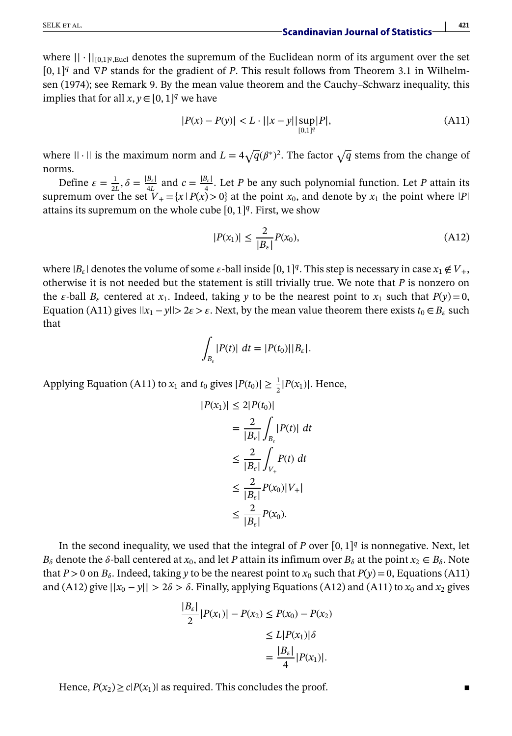where || <sup>⋅</sup> ||[0*,*1]*q,*Eucl denotes the supremum of the Euclidean norm of its argument over the set [0, 1]<sup>*q*</sup> and ∇*P* stands for the gradient of *P*. This result follows from Theorem 3.1 in Wilhelmsen (1974); see Remark 9. By the mean value theorem and the Cauchy–Schwarz inequality, this implies that for all  $x, y \in [0, 1]^q$  we have

$$
|P(x) - P(y)| < L \cdot ||x - y|| \sup_{[0,1]^q} |P|,\tag{A11}
$$

where  $|| \cdot ||$  is the maximum norm and  $L = 4\sqrt{q}(\beta^*)^2$ . The factor  $\sqrt{q}$  stems from the change of norms.

Define  $\varepsilon = \frac{1}{2L}$ ,  $\delta = \frac{|B_{\varepsilon}|}{4L}$  and  $c = \frac{|B_{\varepsilon}|}{4}$ . Let *P* be any such polynomial function. Let *P* attain its supremum over the set  $V_+ = \{x \mid P(x) > 0\}$  at the point  $x_0$ , and denote by  $x_1$  the point where  $|P|$ attains its supremum on the whole cube  $[0, 1]^q$ . First, we show

$$
|P(x_1)| \le \frac{2}{|B_{\varepsilon}|} P(x_0),\tag{A12}
$$

where  $|B_{\varepsilon}|$  denotes the volume of some  $\varepsilon$ -ball inside  $[0, 1]^q$ . This step is necessary in case  $x_1 \notin V_+$ , otherwise it is not needed but the statement is still trivially true. We note that *P* is nonzero on the  $\varepsilon$ -ball  $B_{\varepsilon}$  centered at  $x_1$ . Indeed, taking *y* to be the nearest point to  $x_1$  such that  $P(y) = 0$ , Equation (A11) gives  $||x_1 - y|| > 2\varepsilon > \varepsilon$ . Next, by the mean value theorem there exists  $t_0 \in B_\varepsilon$  such that

$$
\int_{B_{\varepsilon}} |P(t)| \ dt = |P(t_0)| |B_{\varepsilon}|.
$$

Applying Equation (A11) to  $x_1$  and  $t_0$  gives  $|P(t_0)| \geq \frac{1}{2}|P(x_1)|$ . Hence,

$$
|P(x_1)| \le 2|P(t_0)|
$$
  
\n
$$
= \frac{2}{|B_{\epsilon}|} \int_{B_{\epsilon}} |P(t)| dt
$$
  
\n
$$
\le \frac{2}{|B_{\epsilon}|} \int_{V_+} P(t) dt
$$
  
\n
$$
\le \frac{2}{|B_{\epsilon}|} P(x_0) |V_+|
$$
  
\n
$$
\le \frac{2}{|B_{\epsilon}|} P(x_0).
$$

In the second inequality, we used that the integral of *P* over  $[0, 1]^q$  is nonnegative. Next, let  $B_{\delta}$  denote the  $\delta$ -ball centered at  $x_0$ , and let *P* attain its infimum over  $B_{\delta}$  at the point  $x_2 \in B_{\delta}$ . Note that  $P > 0$  on  $B_{\delta}$ . Indeed, taking *y* to be the nearest point to  $x_0$  such that  $P(y) = 0$ , Equations (A11) and (A12) give  $||x_0 - y|| > 2\delta > \delta$ . Finally, applying Equations (A12) and (A11) to  $x_0$  and  $x_2$  gives

$$
\frac{|B_{\varepsilon}|}{2} |P(x_1)| - P(x_2) \le P(x_0) - P(x_2)
$$
  
\n
$$
\le L |P(x_1)| \delta
$$
  
\n
$$
= \frac{|B_{\varepsilon}|}{4} |P(x_1)|.
$$

Hence,  $P(x_2) \ge c|P(x_1)|$  as required. This concludes the proof.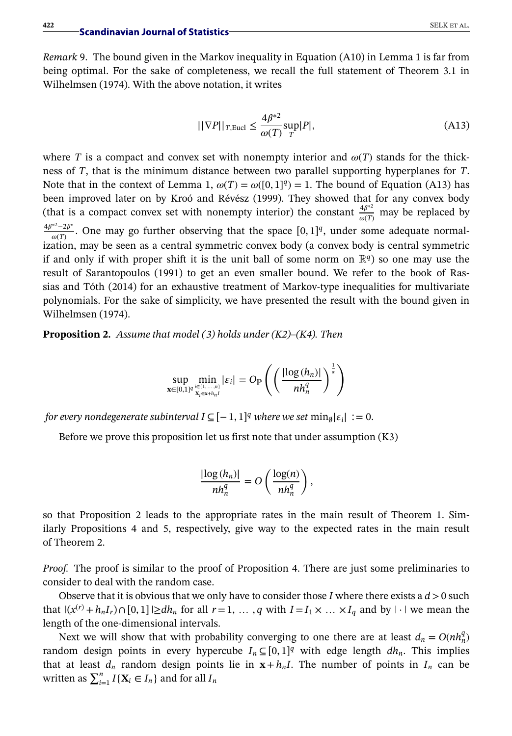*Remark* 9. The bound given in the Markov inequality in Equation (A10) in Lemma 1 is far from being optimal. For the sake of completeness, we recall the full statement of Theorem 3.1 in Wilhelmsen (1974). With the above notation, it writes

$$
||\nabla P||_{T,\text{Eucl}} \le \frac{4\beta^{*2}}{\omega(T)} \sup_{T} |P|,\tag{A13}
$$

where *T* is a compact and convex set with nonempty interior and  $\omega(T)$  stands for the thickness of *T*, that is the minimum distance between two parallel supporting hyperplanes for *T*. Note that in the context of Lemma 1,  $\omega(T) = \omega([0, 1]^q) = 1$ . The bound of Equation (A13) has been improved later on by Kroó and Révész (1999). They showed that for any convex body (that is a compact convex set with nonempty interior) the constant  $\frac{4\beta^{*2}}{\omega(T)}$  may be replaced by  $\frac{4\beta^{*2}-2\beta^{*}}{\omega(T)}$ . One may go further observing that the space [0, 1]<sup>q</sup>, under some adequate normalization, may be seen as a central symmetric convex body (a convex body is central symmetric if and only if with proper shift it is the unit ball of some norm on  $\mathbb{R}^q$ ) so one may use the result of Sarantopoulos (1991) to get an even smaller bound. We refer to the book of Rassias and Tóth (2014) for an exhaustive treatment of Markov-type inequalities for multivariate polynomials. For the sake of simplicity, we have presented the result with the bound given in Wilhelmsen (1974).

**Proposition 2.** *Assume that model (3) holds under (K2)–(K4). Then*

$$
\sup_{\mathbf{x}\in[0,1]^q}\min_{\substack{i\in\{1,\ldots,n\}\\\mathbf{x}_i\in\mathbf{x}+h_nI}}|\varepsilon_i| = O_{\mathbb{P}}\left(\left(\frac{|\log(h_n)|}{nh_n^q}\right)^{\frac{1}{\alpha}}\right)
$$

*for every nondegenerate subinterval*  $I \subseteq [-1, 1]^q$  *where we set*  $\min_{\emptyset} |\varepsilon_i| := 0$ *.* 

Before we prove this proposition let us first note that under assumption (K3)

$$
\frac{|\log(h_n)|}{nh_n^q} = O\left(\frac{\log(n)}{nh_n^q}\right),\,
$$

so that Proposition 2 leads to the appropriate rates in the main result of Theorem 1. Similarly Propositions 4 and 5, respectively, give way to the expected rates in the main result of Theorem 2.

*Proof.* The proof is similar to the proof of Proposition 4. There are just some preliminaries to consider to deal with the random case.

Observe that it is obvious that we only have to consider those *I* where there exists a  $d > 0$  such that  $|(x^{(r)} + h_n I_r) \cap [0, 1]| \ge dh_n$  for all  $r = 1, \ldots, q$  with  $I = I_1 \times \ldots \times I_q$  and by  $| \cdot |$  we mean the length of the one-dimensional intervals.

Next we will show that with probability converging to one there are at least  $d_n = O(nh_n^q)$ random design points in every hypercube  $I_n \subseteq [0, 1]^q$  with edge length  $dh_n$ . This implies that at least  $d_n$  random design points lie in  $x + h_n I$ . The number of points in  $I_n$  can be written as  $\sum_{i=1}^{n} I\{X_i \in I_n\}$  and for all  $I_n$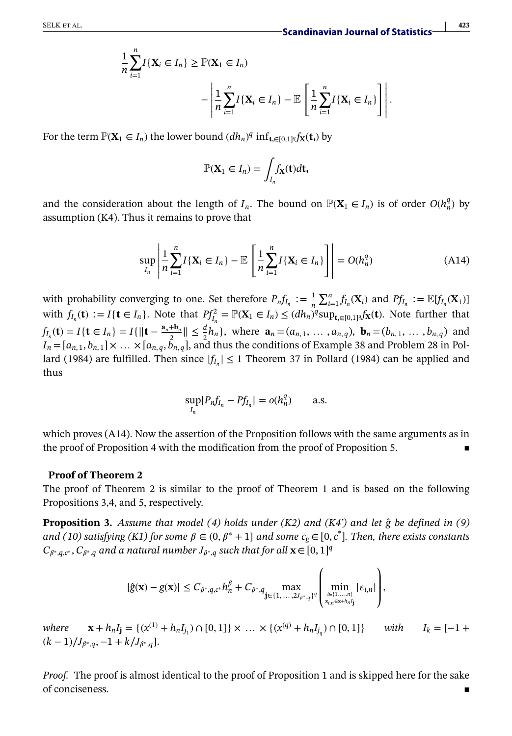$$
\frac{1}{n}\sum_{i=1}^{n}I\{\mathbf{X}_{i}\in I_{n}\}\geq \mathbb{P}(\mathbf{X}_{1}\in I_{n})
$$
\n
$$
-\left|\frac{1}{n}\sum_{i=1}^{n}I\{\mathbf{X}_{i}\in I_{n}\}-\mathbb{E}\left[\frac{1}{n}\sum_{i=1}^{n}I\{\mathbf{X}_{i}\in I_{n}\}\right]\right|.
$$

For the term  $\mathbb{P}(\mathbf{X}_1 \in I_n)$  the lower bound  $(dh_n)^q$  inf<sub>t,∈[0,1]</sub>*qf*<sub>X</sub>(t,) by

$$
\mathbb{P}(\mathbf{X}_1 \in I_n) = \int_{I_n} f_{\mathbf{X}}(\mathbf{t}) d\mathbf{t},
$$

and the consideration about the length of *I<sub>n</sub>*. The bound on  $\mathbb{P}(\mathbf{X}_1 \in I_n)$  is of order  $O(h_n^q)$  by assumption (K4). Thus it remains to prove that

$$
\sup_{I_n} \left| \frac{1}{n} \sum_{i=1}^n I\{\mathbf{X}_i \in I_n\} - \mathbb{E} \left[ \frac{1}{n} \sum_{i=1}^n I\{\mathbf{X}_i \in I_n\} \right] \right| = O(h_n^q) \tag{A14}
$$

with probability converging to one. Set therefore  $P_n f_{I_n} := \frac{1}{n} \sum_{i=1}^n f_{I_n}(\mathbf{X}_i)$  and  $P f_{I_n} := \mathbb{E}[f_{I_n}(\mathbf{X}_1)]$ with  $f_{I_n}(\mathbf{t}) := I\{\mathbf{t} \in I_n\}$ . Note that  $Pf_{I_n}^2 = \mathbb{P}(\mathbf{X}_1 \in I_n) \leq (dh_n)^q \sup_{\mathbf{t}, \in [0,1]^q} f_{\mathbf{X}}(\mathbf{t})$ . Note further that  $f_{I_n}(\mathbf{t}) = I\{\mathbf{t} \in I_n\} = I\{\|\mathbf{t} - \frac{\mathbf{a}_n + \mathbf{b}_n}{2}\| \leq \frac{d}{2}h_n\}$ , where  $\mathbf{a}_n = (a_{n,1}, \dots, a_{n,q})$ ,  $\mathbf{b}_n = (b_{n,1}, \dots, b_{n,q})$  and  $I_n = [a_{n,1}, b_{n,1}] \times ... \times [a_{n,q}, \tilde{b}_{n,q}]$ , and thus the conditions of Example 38 and Problem 28 in Pollard (1984) are fulfilled. Then since  $|f_{I_n}| \le 1$  Theorem 37 in Pollard (1984) can be applied and thus

$$
\sup_{I_n} |P_n f_{I_n} - P f_{I_n}| = o(h_n^q) \qquad \text{a.s.}
$$

which proves (A14). Now the assertion of the Proposition follows with the same arguments as in the proof of Proposition 4 with the modification from the proof of Proposition 5.

#### **Proof of Theorem 2**

The proof of Theorem 2 is similar to the proof of Theorem 1 and is based on the following Propositions 3,4, and 5, respectively.

**Proposition 3.** *Assume that model (4) holds under (K2) and (K4') and let g be defined in (9) ̂ and (10) satisfying (K1) for some*  $\beta \in (0, \beta^* + 1]$  *and some*  $c_g \in [0, c^*]$ *. Then, there exists constants*  $C_{\beta^*,q,c^*}, C_{\beta^*,q}$  and a natural number  $J_{\beta^*,q}$  such that for all  $\mathbf{x} \in [0,1]^q$ 

$$
|\hat{g}(\mathbf{x}) - g(\mathbf{x})| \leq C_{\beta^*, q, c^*} h_n^{\beta} + C_{\beta^*, q} \max_{\mathbf{j} \in \{1, ..., 2J_{\beta^*, q}\}^q} \left( \min_{\substack{i \in \{1, ..., n\} \\ x_{i,n} \in \mathbf{x} + h_n f_j}} |\varepsilon_{i,n}| \right),
$$

*where*  $\mathbf{x} + h_n I_j = \{ (x^{(1)} + h_n I_{j_1}) \cap [0, 1] \} \times ... \times \{ (x^{(q)} + h_n I_{j_q}) \cap [0, 1] \}$  *with*  $I_k = [-1 +$  $(k-1)/J_{\beta^*,q}, -1+k/J_{\beta^*,q}$ .

*Proof.* The proof is almost identical to the proof of Proposition 1 and is skipped here for the sake of conciseness.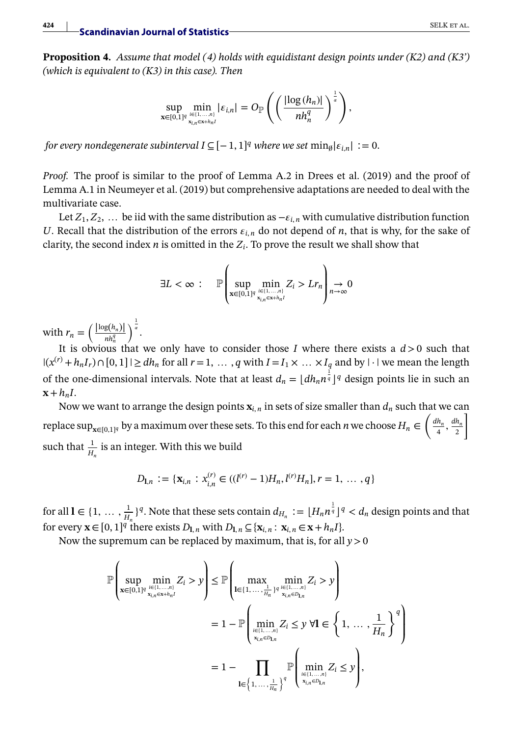**Proposition 4.** *Assume that model (4) holds with equidistant design points under (K2) and (K3') (which is equivalent to (K3) in this case). Then*

$$
\sup_{\mathbf{x}\in[0,1]^q}\min_{\sum_{\substack{i\in\{1,\ldots,n\} \\ x_{i,n}\in\mathbf{x}+h_nI}}|\varepsilon_{i,n}|=O_{\mathbb{P}}\left(\left(\frac{|\log(h_n)|}{nh_n^q}\right)^{\frac{1}{\alpha}}\right),\,
$$

*for every nondegenerate subinterval*  $I \subseteq [-1, 1]^q$  *where we set*  $\min_{\emptyset} |\varepsilon_{i,n}| := 0$ .

*Proof.* The proof is similar to the proof of Lemma A.2 in Drees et al. (2019) and the proof of Lemma A.1 in Neumeyer et al. (2019) but comprehensive adaptations are needed to deal with the multivariate case.

Let  $Z_1, Z_2, \ldots$  be iid with the same distribution as  $-\varepsilon_{i,n}$  with cumulative distribution function *U*. Recall that the distribution of the errors  $\varepsilon_{i,n}$  do not depend of *n*, that is why, for the sake of clarity, the second index *n* is omitted in the  $Z_i$ . To prove the result we shall show that

$$
\exists L < \infty \, : \, \mathbb{P}\left(\sup_{\mathbf{x}\in[0,1]^q}\min_{\substack{i\in\{1,\ldots,n\}\\ \mathbf{x}_{i,n}\in\mathbf{x}+h_nI}}Z_i > Lr_n\right)\underset{n\to\infty}{\to} 0
$$

with  $r_n = \left(\frac{|\log(h_n)|}{nh_n^q}\right)$  $\int_0^{\frac{1}{\alpha}}$ .

It is obvious that we only have to consider those *I* where there exists a  $d > 0$  such that  $|(x^{(r)} + h_n I_r) \cap [0, 1]|$  ≥ *dh<sub>n</sub>* for all *r* = 1, …, *q* with *I* = *I*<sub>1</sub> × … × *I<sub>q</sub>* and by  $| \cdot |$  we mean the length of the one-dimensional intervals. Note that at least  $d_n = \lfloor dh_n n^{\frac{1}{q}} \rfloor^q$  design points lie in such an  $\mathbf{x}+h_nI$ .

Now we want to arrange the design points  $\mathbf{x}_{i,n}$  in sets of size smaller than  $d_n$  such that we can replace  $\sup_{\mathbf{x}\in [0,1]^q}$  by a maximum over these sets. To this end for each *n* we choose  $H_n$  ∈  $\left(\frac{dh_n}{4}, \frac{dh_n}{2}\right)$ ] such that  $\frac{1}{H_n}$  is an integer. With this we build

$$
D_{\mathbf{l},n} := \{ \mathbf{x}_{i,n} : x_{i,n}^{(r)} \in ((l^{(r)} - 1)H_n, l^{(r)}H_n], r = 1, \ldots, q \}
$$

for all  $\mathbf{l} \in \{1, \ldots, \frac{1}{H_n}\}^q$ . Note that these sets contain  $d_{H_n} := \lfloor H_n n^{\frac{1}{q}} \rfloor^q < d_n$  design points and that for every  $\mathbf{x} \in [0, 1]^q$  there exists  $D_{\mathbf{l}, n}$  with  $D_{\mathbf{l}, n} \subseteq {\mathbf{x}}_{i,n} : \mathbf{x}_{i,n} \in \mathbf{x} + h_n I$ .

Now the supremum can be replaced by maximum, that is, for all *y>*0

$$
\mathbb{P}\left(\sup_{\mathbf{x}\in[0,1]^q}\min_{\substack{i\in[1,\ldots,n]\\ \mathbf{x}_{i,n}\in\mathbf{x}_{+h_n}I}}Z_i > y\right) \leq \mathbb{P}\left(\max_{\substack{\mathbf{l}\in\{1,\ldots,n\}\\ \mathbf{x}_{i,n}\in\mathcal{D}_{1,n}}} \min_{\substack{j_i\in[1,\ldots,n]\\ \mathbf{x}_{i,n}\in\mathcal{D}_{1,n}}}Z_i > y\right) \\
= 1 - \mathbb{P}\left(\min_{\substack{i\in[1,\ldots,n]\\ \mathbf{x}_{i,n}\in\mathcal{D}_{1,n}}}Z_i \leq y \ \forall \mathbf{l}\in\left\{1,\ldots,\frac{1}{H_n}\right\}^q\right) \\
= 1 - \prod_{\mathbf{l}\in\left\{1,\ldots,\frac{1}{H_n}\right\}^q}\mathbb{P}\left(\min_{\substack{i\in[1,\ldots,n]\\ \mathbf{x}_{i,n}\in\mathcal{D}_{1,n}}}Z_i \leq y\right),
$$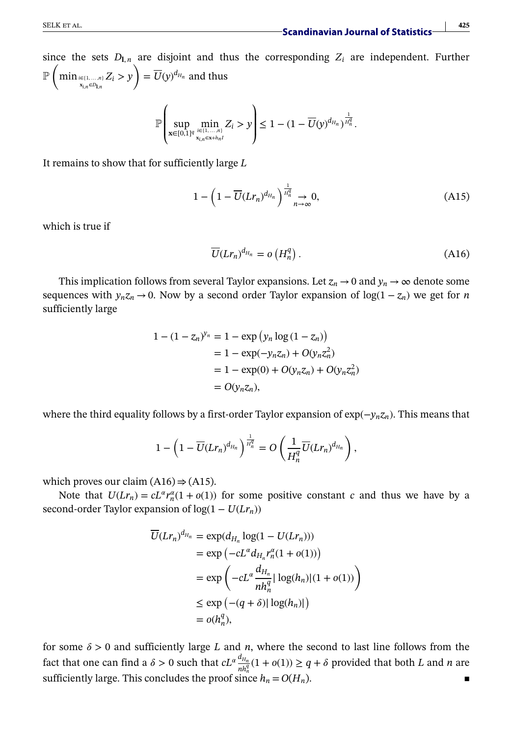since the sets  $D_{\mathbf{l},n}$  are disjoint and thus the corresponding  $Z_i$  are independent. Further  $\mathbb{P}^{\left(\right)}$  $\min_{\substack{x_{i,n} \in D_{1,n} \\ x_{i,n} \in D_{1,n}}} Z_i > y$  $\setminus$  $=\overline{U}(y)^{d_{H_n}}$  and thus

$$
\mathbb{P}\left(\sup_{{\bf x}\in[0,1]^q}\min_{i\in[1,\ldots,n]\atop{x_{i,n}\in{\bf x}+h_nI}}Z_i>y\right)\leq 1-(1-\overline{U}(y)^{d_{H_n}})^{\frac{1}{H_n^q}}.
$$

It remains to show that for sufficiently large *L*

$$
1 - \left(1 - \overline{U}(Lr_n)^{d_{H_n}}\right)^{\frac{1}{H_n^d}} \to 0,
$$
\n(A15)

which is true if

$$
\overline{U}(Lr_n)^{d_{H_n}} = o\left(H_n^q\right). \tag{A16}
$$

This implication follows from several Taylor expansions. Let  $z_n \to 0$  and  $y_n \to \infty$  denote some sequences with  $y_n z_n \to 0$ . Now by a second order Taylor expansion of  $\log(1 - z_n)$  we get for *n* sufficiently large

$$
1 - (1 - z_n)^{y_n} = 1 - \exp(y_n \log(1 - z_n))
$$
  
= 1 - \exp(-y\_n z\_n) + O(y\_n z\_n^2)  
= 1 - \exp(0) + O(y\_n z\_n) + O(y\_n z\_n^2)  
= O(y\_n z\_n),

where the third equality follows by a first-order Taylor expansion of exp(−*ynzn*). This means that

$$
1-\left(1-\overline{U}(L r_n)^{d_{H_n}}\right)^{\frac{1}{H_n^q}}=O\left(\frac{1}{H_n^q}\overline{U}(L r_n)^{d_{H_n}}\right),
$$

which proves our claim  $(A16) \Rightarrow (A15)$ .

Note that  $U(Lr_n) = cL^{\alpha}r_n^{\alpha}(1 + o(1))$  for some positive constant *c* and thus we have by a second-order Taylor expansion of  $log(1 - U(Lr_n))$ 

$$
\overline{U}(Lr_n)^{d_{H_n}} = \exp(d_{H_n} \log(1 - U(Lr_n)))
$$
\n
$$
= \exp(-cL^{\alpha} d_{H_n} r_n^{\alpha} (1 + o(1)))
$$
\n
$$
= \exp\left(-cL^{\alpha} \frac{d_{H_n}}{nh_n^q} |\log(h_n)| (1 + o(1))\right)
$$
\n
$$
\leq \exp(- (q + \delta) |\log(h_n)|)
$$
\n
$$
= o(h_n^q),
$$

for some  $\delta > 0$  and sufficiently large *L* and *n*, where the second to last line follows from the fact that one can find a  $\delta > 0$  such that  $cL^{\alpha} \frac{d_{H_n}}{nh_n^{\alpha}}(1 + o(1)) \ge q + \delta$  provided that both *L* and *n* are sufficiently large. This concludes the proof since  $h_n = O(H_n)$ .